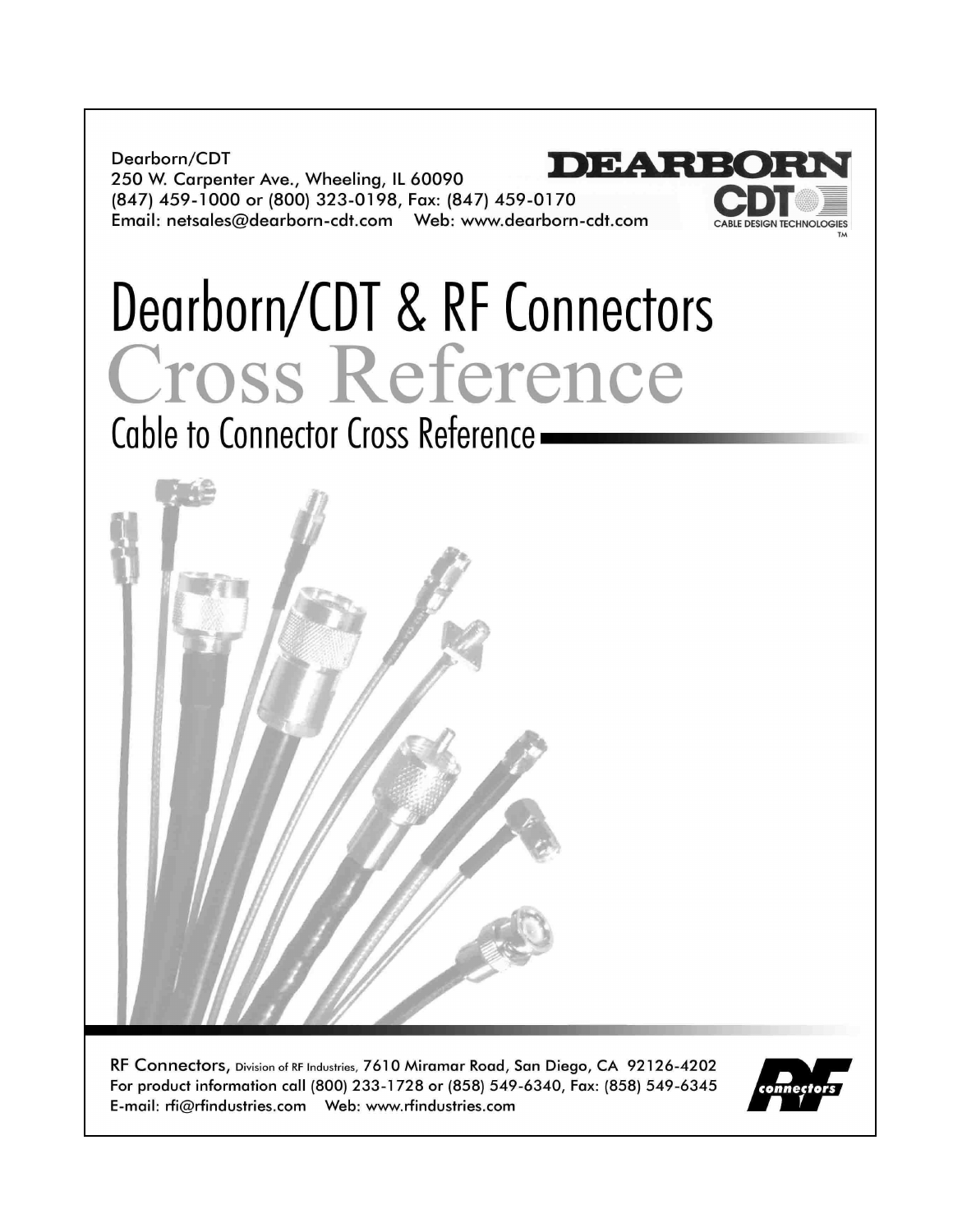Dearborn/CDT DEARE 250 W. Carpenter Ave., Wheeling, IL 60090 (847) 459-1000 or (800) 323-0198, Fax: (847) 459-0170 

# Dearborn/CDT & RF Connectors Cross Reference

Cable to Connector Cross Reference -

RF Connectors, Division of RF Industries, 7610 Miramar Road, San Diego, CA 92126-4202 For product information call (800) 233-1728 or (858) 549-6340, Fax: (858) 549-6345 



CABLE DESIGN TECHNOLOGIES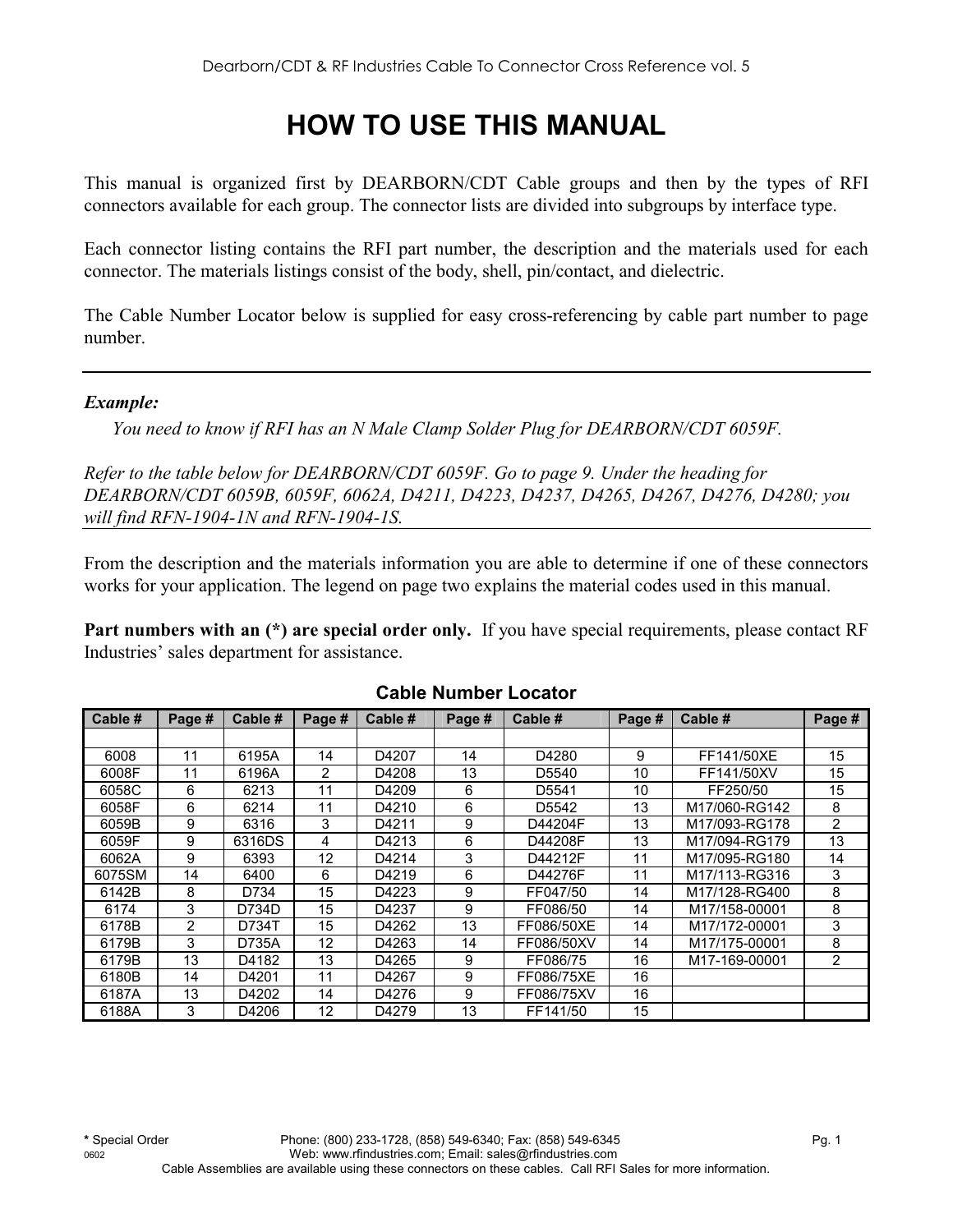# **HOW TO USE THIS MANUAL**

This manual is organized first by DEARBORN/CDT Cable groups and then by the types of RFI connectors available for each group. The connector lists are divided into subgroups by interface type.

Each connector listing contains the RFI part number, the description and the materials used for each connector. The materials listings consist of the body, shell, pin/contact, and dielectric.

The Cable Number Locator below is supplied for easy cross-referencing by cable part number to page number.

#### *Example:*

*You need to know if RFI has an N Male Clamp Solder Plug for DEARBORN/CDT 6059F.* 

*Refer to the table below for DEARBORN/CDT 6059F. Go to page 9. Under the heading for DEARBORN/CDT 6059B, 6059F, 6062A, D4211, D4223, D4237, D4265, D4267, D4276, D4280; you will find RFN-1904-1N and RFN-1904-1S.* 

From the description and the materials information you are able to determine if one of these connectors works for your application. The legend on page two explains the material codes used in this manual.

**Part numbers with an (\*) are special order only.** If you have special requirements, please contact RF Industries' sales department for assistance.

| Cable # | Page # | Cable # | Page # | Cable # | Page # | Cable #           | Page # | Cable #       | Page #         |
|---------|--------|---------|--------|---------|--------|-------------------|--------|---------------|----------------|
|         |        |         |        |         |        |                   |        |               |                |
| 6008    | 11     | 6195A   | 14     | D4207   | 14     | D4280             | 9      | FF141/50XE    | 15             |
| 6008F   | 11     | 6196A   | 2      | D4208   | 13     | D5540             | 10     | FF141/50XV    | 15             |
| 6058C   | 6      | 6213    | 11     | D4209   | 6      | D <sub>5541</sub> | 10     | FF250/50      | 15             |
| 6058F   | 6      | 6214    | 11     | D4210   | 6      | D5542             | 13     | M17/060-RG142 | 8              |
| 6059B   | 9      | 6316    | 3      | D4211   | 9      | D44204F           | 13     | M17/093-RG178 | $\overline{2}$ |
| 6059F   | 9      | 6316DS  | 4      | D4213   | 6      | D44208F           | 13     | M17/094-RG179 | 13             |
| 6062A   | 9      | 6393    | 12     | D4214   | 3      | D44212F           | 11     | M17/095-RG180 | 14             |
| 6075SM  | 14     | 6400    | 6      | D4219   | 6      | D44276F           | 11     | M17/113-RG316 | 3              |
| 6142B   | 8      | D734    | 15     | D4223   | 9      | FF047/50          | 14     | M17/128-RG400 | 8              |
| 6174    | 3      | D734D   | 15     | D4237   | 9      | FF086/50          | 14     | M17/158-00001 | 8              |
| 6178B   | 2      | D734T   | 15     | D4262   | 13     | FF086/50XE        | 14     | M17/172-00001 | 3              |
| 6179B   | 3      | D735A   | 12     | D4263   | 14     | FF086/50XV        | 14     | M17/175-00001 | 8              |
| 6179B   | 13     | D4182   | 13     | D4265   | 9      | FF086/75          | 16     | M17-169-00001 | $\overline{2}$ |
| 6180B   | 14     | D4201   | 11     | D4267   | 9      | FF086/75XE        | 16     |               |                |
| 6187A   | 13     | D4202   | 14     | D4276   | 9      | FF086/75XV        | 16     |               |                |
| 6188A   | 3      | D4206   | 12     | D4279   | 13     | FF141/50          | 15     |               |                |

## **Cable Number Locator**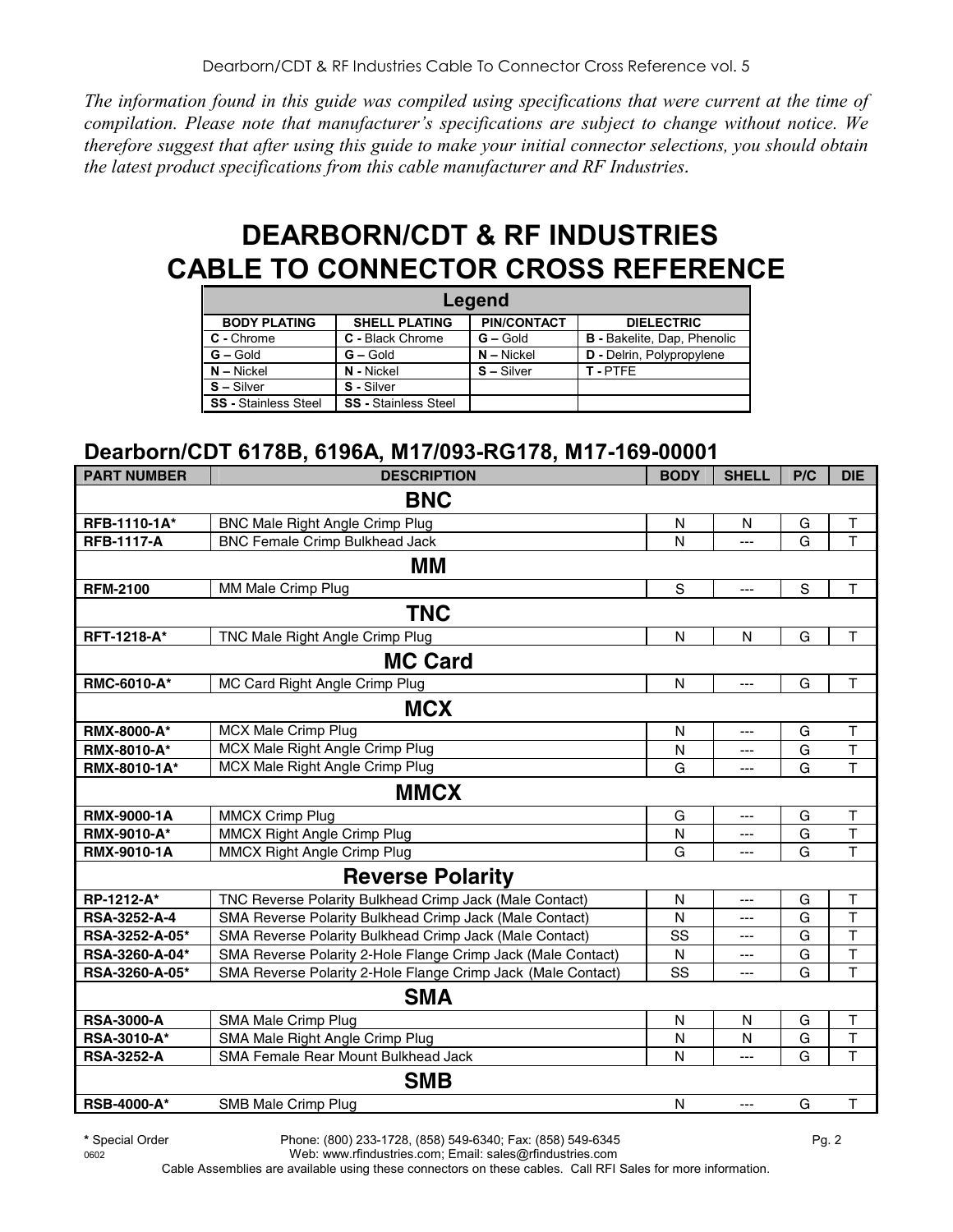*The information found in this guide was compiled using specifications that were current at the time of compilation. Please note that manufacturer's specifications are subject to change without notice. We therefore suggest that after using this guide to make your initial connector selections, you should obtain the latest product specifications from this cable manufacturer and RF Industries.* 

# **DEARBORN/CDT & RF INDUSTRIES CABLE TO CONNECTOR CROSS REFERENCE**

|                             |                             | Legend             |                                    |
|-----------------------------|-----------------------------|--------------------|------------------------------------|
| <b>BODY PLATING</b>         | <b>SHELL PLATING</b>        | <b>PIN/CONTACT</b> | <b>DIELECTRIC</b>                  |
| C - Chrome                  | C - Black Chrome            | $G -$ Gold         | <b>B</b> - Bakelite, Dap, Phenolic |
| $G - Gold$                  | $G - Gold$                  | $N -$ Nickel       | D - Delrin, Polypropylene          |
| $N -$ Nickel                | N - Nickel                  | $S - Silver$       | T-PTFF                             |
| $S - Silver$                | S - Silver                  |                    |                                    |
| <b>SS</b> - Stainless Steel | <b>SS</b> - Stainless Steel |                    |                                    |

## **Dearborn/CDT 6178B, 6196A, M17/093-RG178, M17-169-00001**

| <b>PART NUMBER</b>      | <b>DESCRIPTION</b>                                           | <b>BODY</b>  | <b>SHELL</b> | P/C         | <b>DIE</b>              |  |
|-------------------------|--------------------------------------------------------------|--------------|--------------|-------------|-------------------------|--|
|                         | <b>BNC</b>                                                   |              |              |             |                         |  |
| RFB-1110-1A*            | <b>BNC Male Right Angle Crimp Plug</b>                       | $\mathsf{N}$ | N            | G           | T                       |  |
| <b>RFB-1117-A</b>       | <b>BNC Female Crimp Bulkhead Jack</b>                        | N            | ---          | G           | T                       |  |
|                         | MМ                                                           |              |              |             |                         |  |
| <b>RFM-2100</b>         | MM Male Crimp Plug                                           | $\mathbf S$  | ---          | $\mathbf S$ | $\mathsf T$             |  |
|                         | <b>TNC</b>                                                   |              |              |             |                         |  |
| RFT-1218-A*             | TNC Male Right Angle Crimp Plug                              | $\mathsf{N}$ | N            | G           | T                       |  |
|                         | <b>MC Card</b>                                               |              |              |             |                         |  |
| RMC-6010-A*             | MC Card Right Angle Crimp Plug                               | N            | ---          | G           | Т                       |  |
|                         | <b>MCX</b>                                                   |              |              |             |                         |  |
| <b>RMX-8000-A*</b>      | <b>MCX Male Crimp Plug</b>                                   | $\mathsf{N}$ | ---          | G           | T                       |  |
| <b>RMX-8010-A*</b>      | MCX Male Right Angle Crimp Plug                              | N            | ---          | G           | T                       |  |
| RMX-8010-1A*            | MCX Male Right Angle Crimp Plug                              | G            | ---          | G           | T                       |  |
|                         | <b>MMCX</b>                                                  |              |              |             |                         |  |
| <b>RMX-9000-1A</b>      | <b>MMCX Crimp Plug</b>                                       | G            | ---          | G           | T                       |  |
| RMX-9010-A*             | <b>MMCX Right Angle Crimp Plug</b>                           | N            | ---          | G           | $\overline{\mathsf{T}}$ |  |
| RMX-9010-1A             | <b>MMCX Right Angle Crimp Plug</b>                           | G            | ---          | G           | T                       |  |
| <b>Reverse Polarity</b> |                                                              |              |              |             |                         |  |
| RP-1212-A*              | TNC Reverse Polarity Bulkhead Crimp Jack (Male Contact)      | N            | ---          | G           | T                       |  |
| RSA-3252-A-4            | SMA Reverse Polarity Bulkhead Crimp Jack (Male Contact)      | N            | ---          | G           | $\overline{\mathsf{T}}$ |  |
| RSA-3252-A-05*          | SMA Reverse Polarity Bulkhead Crimp Jack (Male Contact)      | SS           | ---          | G           | T                       |  |
| RSA-3260-A-04*          | SMA Reverse Polarity 2-Hole Flange Crimp Jack (Male Contact) | $\mathsf{N}$ | ---          | G           | $\overline{\mathsf{T}}$ |  |
| RSA-3260-A-05*          | SMA Reverse Polarity 2-Hole Flange Crimp Jack (Male Contact) | SS           | ---          | G           | $\overline{\mathsf{T}}$ |  |
|                         | <b>SMA</b>                                                   |              |              |             |                         |  |
| <b>RSA-3000-A</b>       | SMA Male Crimp Plug                                          | $\mathsf{N}$ | N            | G           | $\mathsf T$             |  |
| RSA-3010-A*             | SMA Male Right Angle Crimp Plug                              | N            | N            | G           | $\mathsf T$             |  |
| <b>RSA-3252-A</b>       | SMA Female Rear Mount Bulkhead Jack                          | N            | ---          | G           | T                       |  |
|                         | <b>SMB</b>                                                   |              |              |             |                         |  |
| <b>RSB-4000-A*</b>      | SMB Male Crimp Plug                                          | $\mathsf{N}$ | ---          | G           | T                       |  |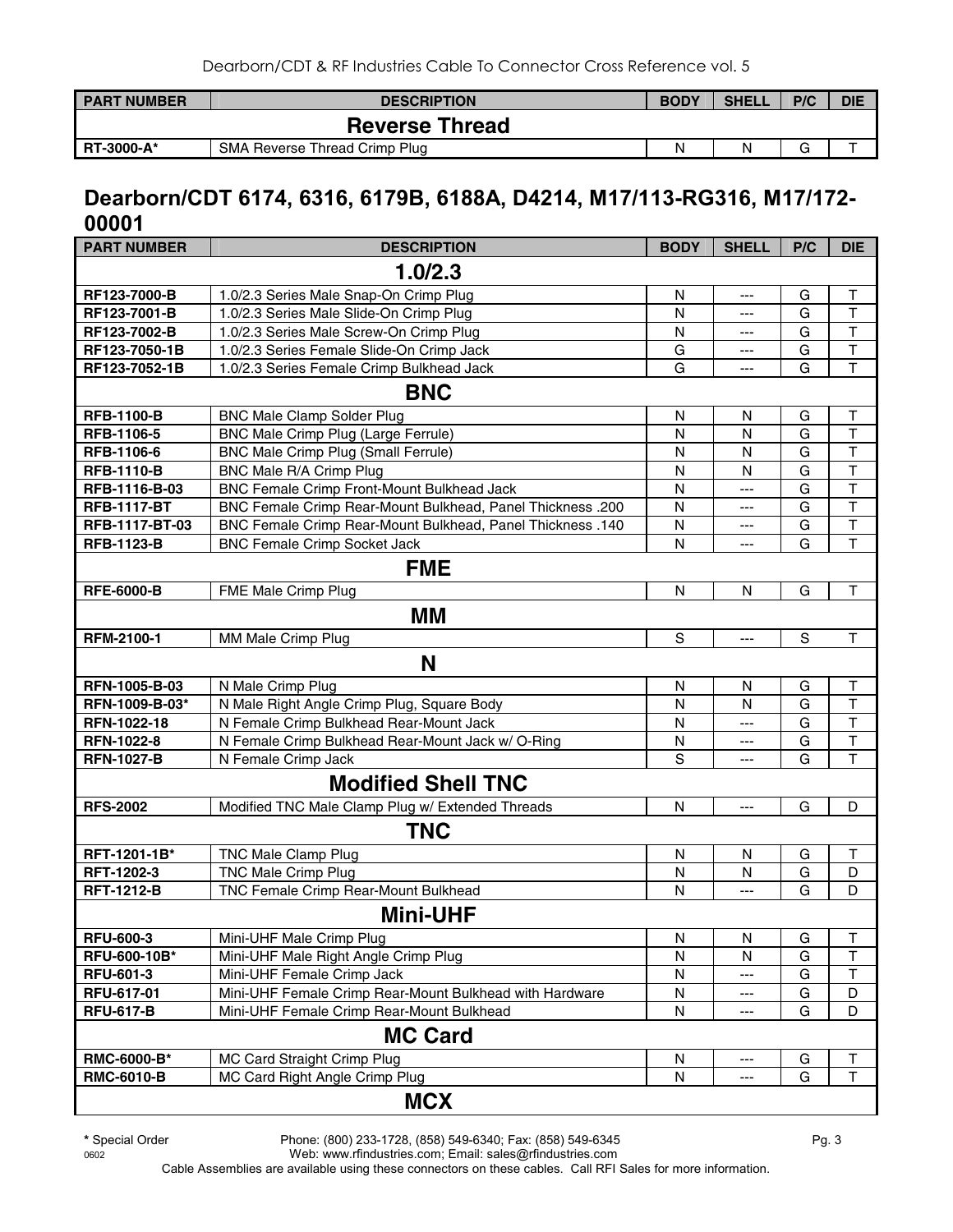| <b>PART NUMBER</b> | <b>DESCRIPTION</b>            | <b>BODY</b> | <b>SHELL</b> | P/C | <b>DIE</b> |
|--------------------|-------------------------------|-------------|--------------|-----|------------|
|                    | <b>Reverse Thread</b>         |             |              |     |            |
| <b>RT-3000-A*</b>  | SMA Reverse Thread Crimp Plug | Ν           | N            |     |            |

## **Dearborn/CDT 6174, 6316, 6179B, 6188A, D4214, M17/113-RG316, M17/172- 00001**

| <b>PART NUMBER</b>        | <b>DESCRIPTION</b>                                         | <b>BODY</b>             | <b>SHELL</b> | P/C          | <b>DIE</b>              |  |  |
|---------------------------|------------------------------------------------------------|-------------------------|--------------|--------------|-------------------------|--|--|
|                           | 1.0/2.3                                                    |                         |              |              |                         |  |  |
| RF123-7000-B              | 1.0/2.3 Series Male Snap-On Crimp Plug                     | $\mathsf{N}$            | ---          | G            | $\mathsf T$             |  |  |
| RF123-7001-B              | 1.0/2.3 Series Male Slide-On Crimp Plug                    | N                       | ---          | G            | T                       |  |  |
| RF123-7002-B              | 1.0/2.3 Series Male Screw-On Crimp Plug                    | $\mathsf{N}$            | ---          | G            | $\mathsf{T}$            |  |  |
| RF123-7050-1B             | 1.0/2.3 Series Female Slide-On Crimp Jack                  | G                       | ---          | ${\bf G}$    | $\overline{\mathsf{T}}$ |  |  |
| RF123-7052-1B             | 1.0/2.3 Series Female Crimp Bulkhead Jack                  | G                       | ---          | G            | T                       |  |  |
|                           | <b>BNC</b>                                                 |                         |              |              |                         |  |  |
| <b>RFB-1100-B</b>         | <b>BNC Male Clamp Solder Plug</b>                          | N                       | N            | G            | $\mathsf T$             |  |  |
| RFB-1106-5                | <b>BNC Male Crimp Plug (Large Ferrule)</b>                 | $\mathsf{N}$            | N            | G            | T                       |  |  |
| RFB-1106-6                | <b>BNC Male Crimp Plug (Small Ferrule)</b>                 | $\mathsf{N}$            | N            | G            | T                       |  |  |
| <b>RFB-1110-B</b>         | BNC Male R/A Crimp Plug                                    | $\mathsf{N}$            | N            | G            | T                       |  |  |
| RFB-1116-B-03             | <b>BNC Female Crimp Front-Mount Bulkhead Jack</b>          | $\overline{\mathsf{N}}$ | ---          | G            | $\overline{\mathsf{T}}$ |  |  |
| <b>RFB-1117-BT</b>        | BNC Female Crimp Rear-Mount Bulkhead, Panel Thickness .200 | ${\sf N}$               | ---          | G            | $\mathsf T$             |  |  |
| RFB-1117-BT-03            | BNC Female Crimp Rear-Mount Bulkhead, Panel Thickness .140 | N                       | ---          | G            | $\overline{\mathsf{T}}$ |  |  |
| <b>RFB-1123-B</b>         | <b>BNC Female Crimp Socket Jack</b>                        | N                       | ---          | G            | $\overline{\mathsf{T}}$ |  |  |
| <b>FME</b>                |                                                            |                         |              |              |                         |  |  |
| <b>RFE-6000-B</b>         | FME Male Crimp Plug                                        | N                       | N            | G            | T                       |  |  |
|                           | МM                                                         |                         |              |              |                         |  |  |
| RFM-2100-1                | MM Male Crimp Plug                                         | S                       | ---          | $\mathsf{s}$ | T                       |  |  |
|                           | N                                                          |                         |              |              |                         |  |  |
| RFN-1005-B-03             | N Male Crimp Plug                                          | ${\sf N}$               | N            | G            | $\top$                  |  |  |
| RFN-1009-B-03*            | N Male Right Angle Crimp Plug, Square Body                 | $\mathsf{N}$            | N            | G            | T                       |  |  |
| RFN-1022-18               | N Female Crimp Bulkhead Rear-Mount Jack                    | ${\sf N}$               | ---          | G            | T                       |  |  |
| RFN-1022-8                | N Female Crimp Bulkhead Rear-Mount Jack w/ O-Ring          | ${\sf N}$               | ---          | G            | $\overline{\mathsf{T}}$ |  |  |
| <b>RFN-1027-B</b>         | N Female Crimp Jack                                        | S                       | ---          | G            | T                       |  |  |
| <b>Modified Shell TNC</b> |                                                            |                         |              |              |                         |  |  |
| <b>RFS-2002</b>           | Modified TNC Male Clamp Plug w/ Extended Threads           | $\mathsf{N}$            | $--$         | G            | D                       |  |  |
|                           | <b>TNC</b>                                                 |                         |              |              |                         |  |  |
| RFT-1201-1B*              | <b>TNC Male Clamp Plug</b>                                 | ${\sf N}$               | N            | G            | $\top$                  |  |  |
| RFT-1202-3                | <b>TNC Male Crimp Plug</b>                                 | $\mathsf{N}$            | N            | G            | D                       |  |  |
| <b>RFT-1212-B</b>         | TNC Female Crimp Rear-Mount Bulkhead                       | $\mathsf{N}$            | ---          | G            | D                       |  |  |
|                           | <b>Mini-UHF</b>                                            |                         |              |              |                         |  |  |
| <b>RFU-600-3</b>          | Mini-UHF Male Crimp Plug                                   | N                       | N            | G            | Т                       |  |  |
| RFU-600-10B*              | Mini-UHF Male Right Angle Crimp Plug                       | N                       | N            | G            | T                       |  |  |
| RFU-601-3                 | Mini-UHF Female Crimp Jack                                 | ${\sf N}$               | ---          | G            | Т                       |  |  |
| RFU-617-01                | Mini-UHF Female Crimp Rear-Mount Bulkhead with Hardware    | N                       | ---          | G            | D                       |  |  |
| <b>RFU-617-B</b>          | Mini-UHF Female Crimp Rear-Mount Bulkhead                  | N                       | ---          | G            | D                       |  |  |
|                           | <b>MC Card</b>                                             |                         |              |              |                         |  |  |
| RMC-6000-B*               | MC Card Straight Crimp Plug                                | ${\sf N}$               | ---          | G            | Т                       |  |  |
| <b>RMC-6010-B</b>         | MC Card Right Angle Crimp Plug                             | N                       | ---          | G            | T                       |  |  |
|                           |                                                            |                         |              |              |                         |  |  |
|                           | <b>MCX</b>                                                 |                         |              |              |                         |  |  |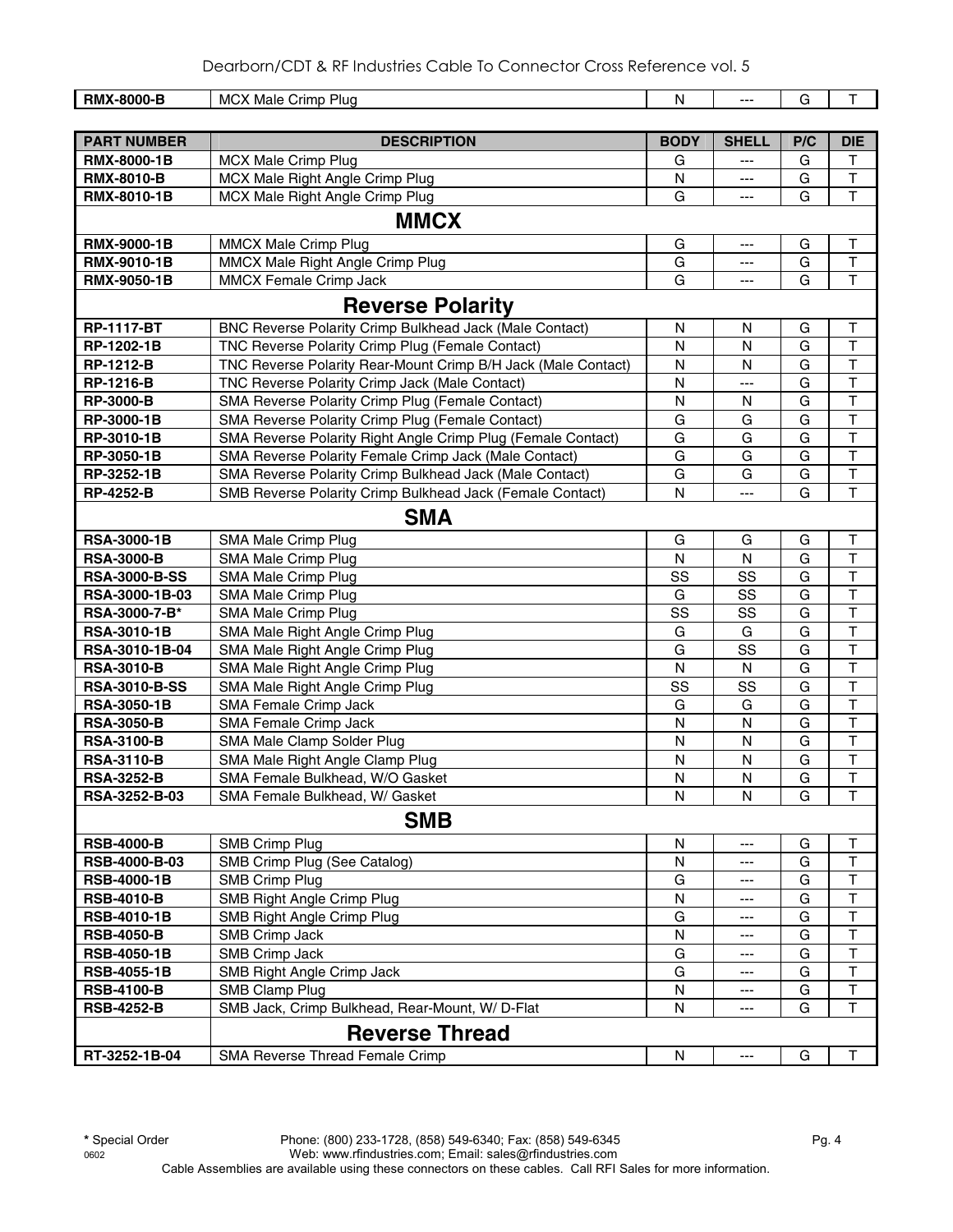| <b>RMX-8000-B</b>                      | <b>MCX Male Crimp Plug</b>                                    | N              |                   | G              | T                                       |
|----------------------------------------|---------------------------------------------------------------|----------------|-------------------|----------------|-----------------------------------------|
|                                        |                                                               |                |                   |                |                                         |
| <b>PART NUMBER</b>                     | <b>DESCRIPTION</b>                                            | <b>BODY</b>    | <b>SHELL</b>      | P/C            | <b>DIE</b>                              |
| RMX-8000-1B                            | <b>MCX Male Crimp Plug</b>                                    | G              | $---$             | G              | T                                       |
| <b>RMX-8010-B</b>                      | MCX Male Right Angle Crimp Plug                               | N              | $---$             | G              | $\sf T$                                 |
| RMX-8010-1B                            | MCX Male Right Angle Crimp Plug                               | G              | ---               | G              | T                                       |
|                                        | <b>MMCX</b>                                                   |                |                   |                |                                         |
| <b>RMX-9000-1B</b>                     | <b>MMCX Male Crimp Plug</b>                                   | G              | $\overline{a}$    | G              | Τ                                       |
| <b>RMX-9010-1B</b>                     | MMCX Male Right Angle Crimp Plug                              | G              | ---               | G              | $\sf T$                                 |
| <b>RMX-9050-1B</b>                     | MMCX Female Crimp Jack                                        | G              | ---               | G              | $\mathsf{T}$                            |
|                                        | <b>Reverse Polarity</b>                                       |                |                   |                |                                         |
| <b>RP-1117-BT</b>                      | BNC Reverse Polarity Crimp Bulkhead Jack (Male Contact)       | N              | N                 | G              | T                                       |
| RP-1202-1B                             | TNC Reverse Polarity Crimp Plug (Female Contact)              | N              | N                 | G              | Т                                       |
| <b>RP-1212-B</b>                       | TNC Reverse Polarity Rear-Mount Crimp B/H Jack (Male Contact) | ${\sf N}$      | N                 | G              | T                                       |
| <b>RP-1216-B</b>                       | TNC Reverse Polarity Crimp Jack (Male Contact)                | N              | ---               | G              | T                                       |
| <b>RP-3000-B</b>                       | SMA Reverse Polarity Crimp Plug (Female Contact)              | N              | N                 | G              | $\top$                                  |
| RP-3000-1B                             | SMA Reverse Polarity Crimp Plug (Female Contact)              | G              | G                 | $\overline{G}$ | $\mathsf{T}$                            |
| RP-3010-1B                             | SMA Reverse Polarity Right Angle Crimp Plug (Female Contact)  | G              | G                 | G              | $\mathsf{T}$                            |
| RP-3050-1B                             | SMA Reverse Polarity Female Crimp Jack (Male Contact)         | G              | G                 | G              | $\top$                                  |
| RP-3252-1B                             | SMA Reverse Polarity Crimp Bulkhead Jack (Male Contact)       | G              | G                 | G              | $\overline{\mathsf{T}}$                 |
| <b>RP-4252-B</b>                       | SMB Reverse Polarity Crimp Bulkhead Jack (Female Contact)     | N              | ---               | G              | T                                       |
|                                        | <b>SMA</b>                                                    |                |                   |                |                                         |
| <b>RSA-3000-1B</b>                     | SMA Male Crimp Plug                                           | G              | G                 | G              | $\mathsf T$                             |
| <b>RSA-3000-B</b>                      | SMA Male Crimp Plug                                           | $\mathsf{N}$   | ${\sf N}$         | $\overline{G}$ | $\overline{\mathsf{T}}$                 |
| <b>RSA-3000-B-SS</b>                   | SMA Male Crimp Plug                                           | SS             | SS                | G              | $\overline{\mathsf{T}}$                 |
| RSA-3000-1B-03                         | SMA Male Crimp Plug                                           | G              | SS                | G              | $\overline{\mathsf{T}}$                 |
| RSA-3000-7-B*                          | SMA Male Crimp Plug                                           | SS             | SS                | G              | $\overline{\mathsf{T}}$                 |
| <b>RSA-3010-1B</b>                     | SMA Male Right Angle Crimp Plug                               | G              | G                 | G              | $\overline{\mathsf{T}}$                 |
| RSA-3010-1B-04                         | SMA Male Right Angle Crimp Plug                               | G              | SS                | G              | $\overline{\mathsf{T}}$                 |
| <b>RSA-3010-B</b>                      | SMA Male Right Angle Crimp Plug                               | $\mathsf{N}$   | $\mathsf{N}$      | G              | $\overline{\mathsf{T}}$                 |
| <b>RSA-3010-B-SS</b>                   | SMA Male Right Angle Crimp Plug                               | SS             | SS                | G              | $\overline{\mathsf{T}}$                 |
| <b>RSA-3050-1B</b>                     | SMA Female Crimp Jack                                         | G              | G                 | G              | $\mathsf{T}$<br>$\overline{\mathsf{T}}$ |
| <b>RSA-3050-B</b>                      | SMA Female Crimp Jack                                         | ${\sf N}$      | N                 | G              | $\overline{\mathsf{T}}$                 |
| <b>RSA-3100-B</b><br><b>RSA-3110-B</b> | SMA Male Clamp Solder Plug<br>SMA Male Right Angle Clamp Plug | N<br>${\sf N}$ | N<br>N            | G<br>G         | T                                       |
| <b>RSA-3252-B</b>                      | SMA Female Bulkhead, W/O Gasket                               | N              | N                 | G              | Т                                       |
| RSA-3252-B-03                          | SMA Female Bulkhead, W/ Gasket                                | N              | N                 | G              | $\mathsf{T}$                            |
|                                        | <b>SMB</b>                                                    |                |                   |                |                                         |
| <b>RSB-4000-B</b>                      | <b>SMB Crimp Plug</b>                                         | N              | ---               | G              | т                                       |
| RSB-4000-B-03                          | SMB Crimp Plug (See Catalog)                                  | ${\sf N}$      | ---               | G              | $\mathsf T$                             |
| <b>RSB-4000-1B</b>                     | <b>SMB Crimp Plug</b>                                         | G              | ---               | G              | $\mathsf T$                             |
| <b>RSB-4010-B</b>                      | SMB Right Angle Crimp Plug                                    | N              | ---               | G              | T                                       |
| <b>RSB-4010-1B</b>                     | SMB Right Angle Crimp Plug                                    | G              | $\qquad \qquad -$ | G              | т                                       |
| <b>RSB-4050-B</b>                      | SMB Crimp Jack                                                | N              | $---$             | G              | T                                       |
| <b>RSB-4050-1B</b>                     | SMB Crimp Jack                                                | G              | $---$             | G              | T                                       |
| <b>RSB-4055-1B</b>                     | SMB Right Angle Crimp Jack                                    | G              | $---$             | G              | т                                       |
| <b>RSB-4100-B</b>                      | SMB Clamp Plug                                                | N              | $---$             | G              | Τ                                       |
| <b>RSB-4252-B</b>                      | SMB Jack, Crimp Bulkhead, Rear-Mount, W/ D-Flat               | N              | ---               | G              | T                                       |
|                                        | <b>Reverse Thread</b>                                         |                |                   |                |                                         |
| RT-3252-1B-04                          | SMA Reverse Thread Female Crimp                               | N              | $---$             | G              | Τ                                       |
|                                        |                                                               |                |                   |                |                                         |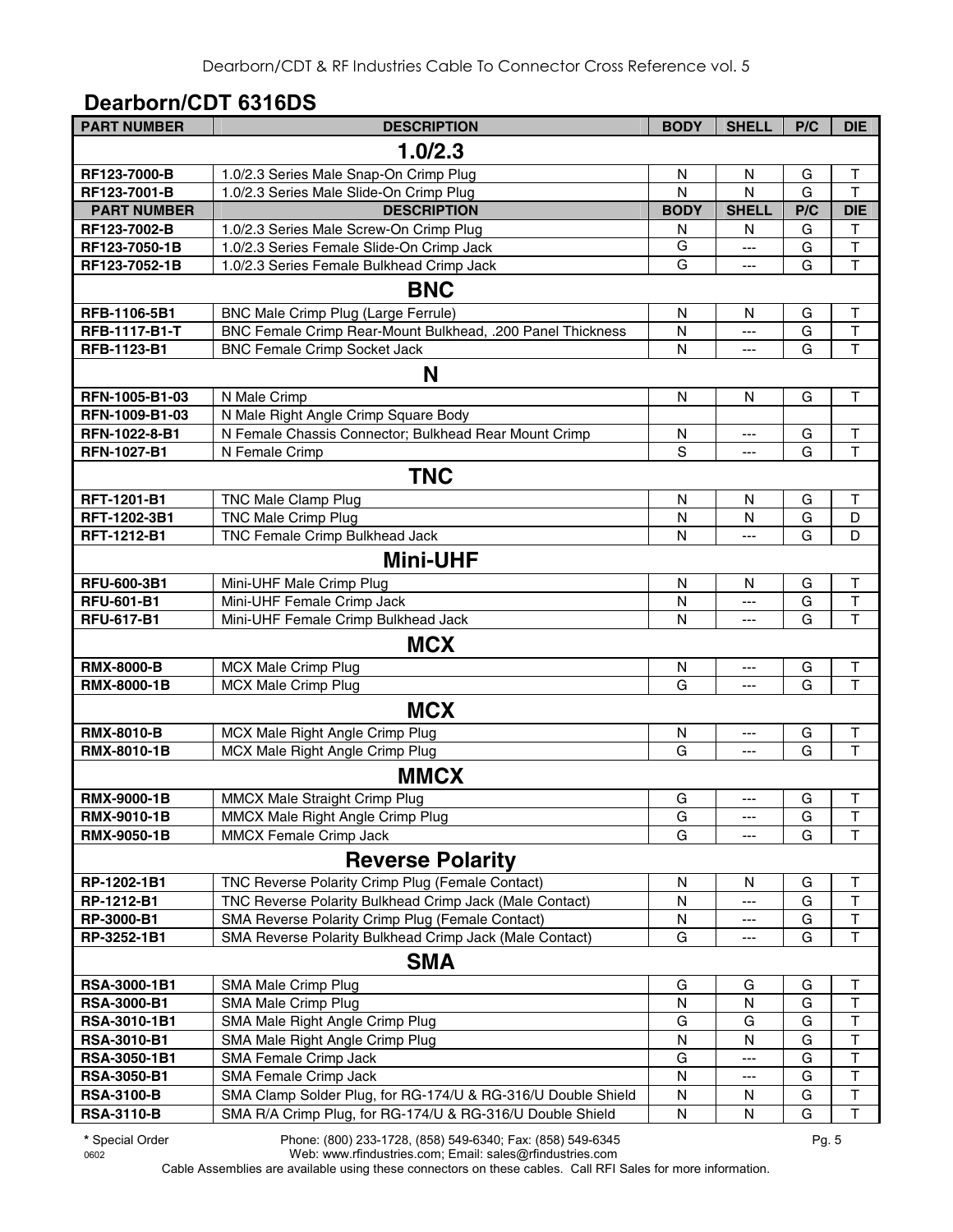## **Dearborn/CDT 6316DS**

| <b>PART NUMBER</b> | <b>DESCRIPTION</b>                                           | <b>BODY</b>  | <b>SHELL</b> | P/C | <b>DIE</b>              |
|--------------------|--------------------------------------------------------------|--------------|--------------|-----|-------------------------|
|                    | 1.0/2.3                                                      |              |              |     |                         |
| RF123-7000-B       | 1.0/2.3 Series Male Snap-On Crimp Plug                       | N            | N            | G   | Τ                       |
| RF123-7001-B       | 1.0/2.3 Series Male Slide-On Crimp Plug                      | N            | N            | G   | $\overline{\mathsf{T}}$ |
| <b>PART NUMBER</b> | <b>DESCRIPTION</b>                                           | <b>BODY</b>  | <b>SHELL</b> | P/C | <b>DIE</b>              |
| RF123-7002-B       | 1.0/2.3 Series Male Screw-On Crimp Plug                      | N            | N            | G   | Τ                       |
| RF123-7050-1B      | 1.0/2.3 Series Female Slide-On Crimp Jack                    | G            | ---          | G   | $\mathsf T$             |
| RF123-7052-1B      | 1.0/2.3 Series Female Bulkhead Crimp Jack                    | G            | ---          | G   | $\overline{\mathsf{T}}$ |
|                    | <b>BNC</b>                                                   |              |              |     |                         |
| RFB-1106-5B1       | BNC Male Crimp Plug (Large Ferrule)                          | N            | N            | G   | T                       |
| RFB-1117-B1-T      | BNC Female Crimp Rear-Mount Bulkhead, .200 Panel Thickness   | N            | ---          | G   | $\overline{\mathsf{T}}$ |
| RFB-1123-B1        | <b>BNC Female Crimp Socket Jack</b>                          | N            |              | G   | $\overline{\mathsf{T}}$ |
|                    | N                                                            |              |              |     |                         |
| RFN-1005-B1-03     | N Male Crimp                                                 | N            | N            | G   | т                       |
| RFN-1009-B1-03     | N Male Right Angle Crimp Square Body                         |              |              |     |                         |
| RFN-1022-8-B1      | N Female Chassis Connector; Bulkhead Rear Mount Crimp        | N            |              | G   | $\sf T$                 |
| <b>RFN-1027-B1</b> | N Female Crimp                                               | S            | ---          | G   | T                       |
|                    | <b>TNC</b>                                                   |              |              |     |                         |
| RFT-1201-B1        | <b>TNC Male Clamp Plug</b>                                   | N            | N            | G   | т                       |
| RFT-1202-3B1       | <b>TNC Male Crimp Plug</b>                                   | N            | $\mathsf{N}$ | G   | D                       |
| RFT-1212-B1        | TNC Female Crimp Bulkhead Jack                               | N            | ---          | G   | D                       |
|                    |                                                              |              |              |     |                         |
|                    | <b>Mini-UHF</b>                                              |              |              |     |                         |
| RFU-600-3B1        | Mini-UHF Male Crimp Plug                                     | N            | N            | G   | т                       |
| <b>RFU-601-B1</b>  | Mini-UHF Female Crimp Jack                                   | N            | ---          | G   | $\overline{\mathsf{T}}$ |
| <b>RFU-617-B1</b>  | Mini-UHF Female Crimp Bulkhead Jack                          | N            | ---          | G   | T                       |
|                    | <b>MCX</b>                                                   |              |              |     |                         |
| <b>RMX-8000-B</b>  | <b>MCX Male Crimp Plug</b>                                   | N            | ---          | G   | T                       |
| <b>RMX-8000-1B</b> | <b>MCX Male Crimp Plug</b>                                   | G            |              | G   | $\overline{1}$          |
|                    | <b>MCX</b>                                                   |              |              |     |                         |
| <b>RMX-8010-B</b>  | MCX Male Right Angle Crimp Plug                              | N            | ---          | G   | T                       |
| RMX-8010-1B        | MCX Male Right Angle Crimp Plug                              | G            | ---          | G   | $\overline{\mathsf{T}}$ |
|                    | <b>MMCX</b>                                                  |              |              |     |                         |
| <b>RMX-9000-1B</b> | MMCX Male Straight Crimp Plug                                | G            | ---          | G   | $\sf T$                 |
| RMX-9010-1B        | MMCX Male Right Angle Crimp Plug                             | G            |              | G   | $\mathsf T$             |
| <b>RMX-9050-1B</b> | MMCX Female Crimp Jack                                       | G            |              | G   | T                       |
|                    | <b>Reverse Polarity</b>                                      |              |              |     |                         |
| RP-1202-1B1        | TNC Reverse Polarity Crimp Plug (Female Contact)             | $\mathsf{N}$ | N            | G   | $\sf T$                 |
| RP-1212-B1         | TNC Reverse Polarity Bulkhead Crimp Jack (Male Contact)      | N            |              | G   | $\mathsf T$             |
| RP-3000-B1         | SMA Reverse Polarity Crimp Plug (Female Contact)             | N            | ---          | G   | $\sf T$                 |
| RP-3252-1B1        | SMA Reverse Polarity Bulkhead Crimp Jack (Male Contact)      | G            |              | G   | $\overline{\mathsf{T}}$ |
|                    | <b>SMA</b>                                                   |              |              |     |                         |
| RSA-3000-1B1       | SMA Male Crimp Plug                                          | G            | G            | G   | Τ                       |
| <b>RSA-3000-B1</b> | SMA Male Crimp Plug                                          | N            | N            | G   | $\sf T$                 |
| RSA-3010-1B1       | SMA Male Right Angle Crimp Plug                              | G            | G            | G   | $\mathsf T$             |
| <b>RSA-3010-B1</b> | SMA Male Right Angle Crimp Plug                              | N            | N            | G   | $\top$                  |
| RSA-3050-1B1       | SMA Female Crimp Jack                                        | G            | ---          | G   | $\top$                  |
| <b>RSA-3050-B1</b> | SMA Female Crimp Jack                                        | N            | ---          | G   | $\mathsf T$             |
| <b>RSA-3100-B</b>  | SMA Clamp Solder Plug, for RG-174/U & RG-316/U Double Shield | N            | N            | G   | T                       |
| <b>RSA-3110-B</b>  | SMA R/A Crimp Plug, for RG-174/U & RG-316/U Double Shield    | N            | N            | G   | $\top$                  |

**\*** Special Order Phone: (800) 233-1728, (858) 549-6340; Fax: (858) 549-6345 Pg. 5 0602 Web: www.rfindustries.com; Email: sales@rfindustries.com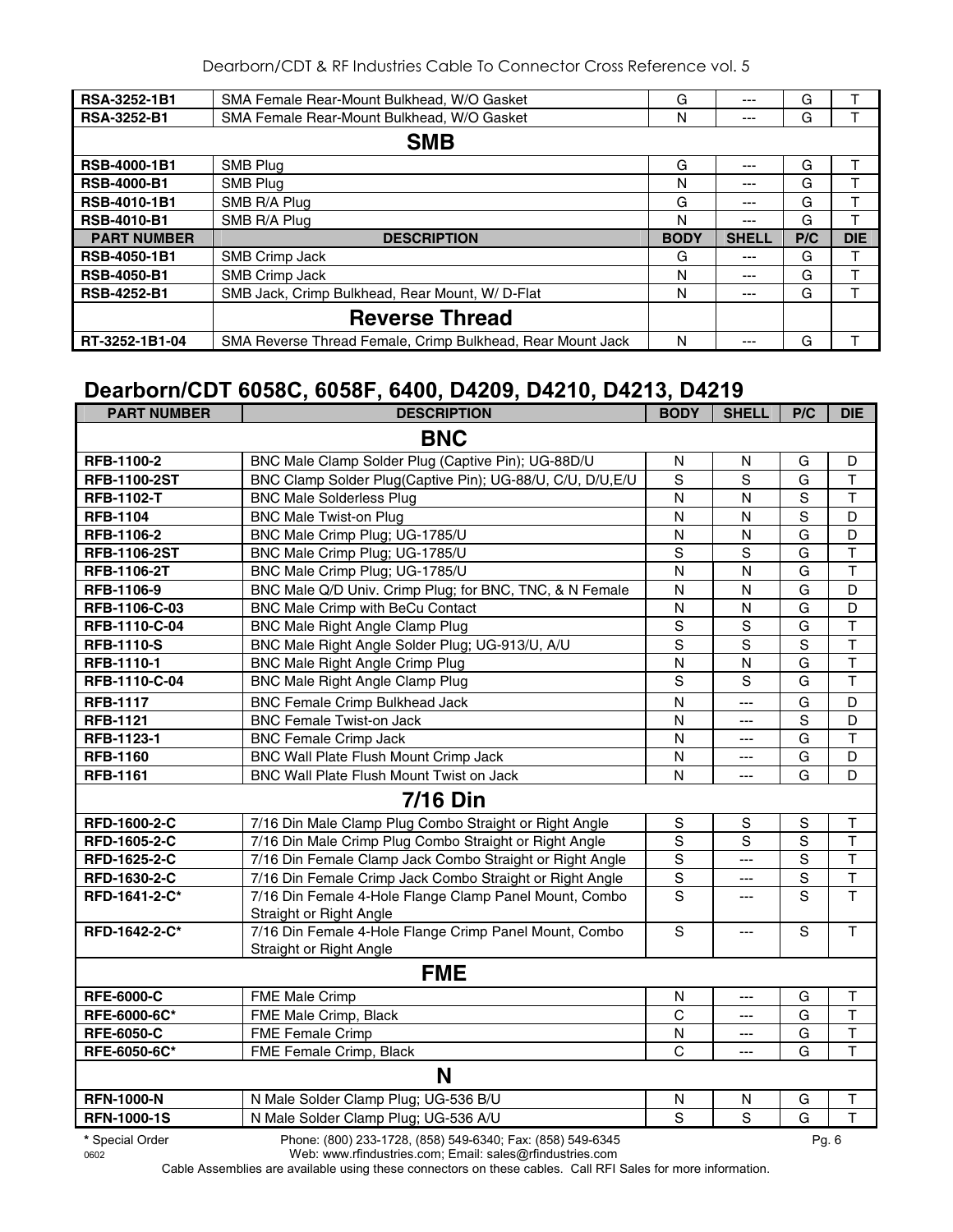| RSA-3252-1B1        | SMA Female Rear-Mount Bulkhead, W/O Gasket                 | G           | $---$        | G   |            |
|---------------------|------------------------------------------------------------|-------------|--------------|-----|------------|
| <b>RSA-3252-B1</b>  | SMA Female Rear-Mount Bulkhead, W/O Gasket                 | N           | ---          | G   |            |
|                     | <b>SMB</b>                                                 |             |              |     |            |
| <b>RSB-4000-1B1</b> | <b>SMB Plug</b>                                            | G           | $---$        | G   |            |
| <b>RSB-4000-B1</b>  | <b>SMB Plug</b>                                            | N           | ---          | G   |            |
| <b>RSB-4010-1B1</b> | SMB R/A Plug                                               | G           | ---          | G   |            |
| <b>RSB-4010-B1</b>  | SMB R/A Plug                                               | N           | ---          | G   |            |
| <b>PART NUMBER</b>  | <b>DESCRIPTION</b>                                         | <b>BODY</b> | <b>SHELL</b> | P/C | <b>DIE</b> |
| <b>RSB-4050-1B1</b> | SMB Crimp Jack                                             | G           | ---          | G   |            |
| <b>RSB-4050-B1</b>  | SMB Crimp Jack                                             | N           | $---$        | G   |            |
| <b>RSB-4252-B1</b>  | SMB Jack, Crimp Bulkhead, Rear Mount, W/D-Flat             | N           | $---$        | G   |            |
|                     | <b>Reverse Thread</b>                                      |             |              |     |            |
| RT-3252-1B1-04      | SMA Reverse Thread Female, Crimp Bulkhead, Rear Mount Jack | N           | ---          | G   |            |

## **Dearborn/CDT 6058C, 6058F, 6400, D4209, D4210, D4213, D4219**

| <b>PART NUMBER</b>  | <b>DESCRIPTION</b>                                                                | <b>BODY</b>    | <b>SHELL</b>   | P/C            | <b>DIE</b>              |  |
|---------------------|-----------------------------------------------------------------------------------|----------------|----------------|----------------|-------------------------|--|
|                     | <b>BNC</b>                                                                        |                |                |                |                         |  |
| RFB-1100-2          | BNC Male Clamp Solder Plug (Captive Pin); UG-88D/U                                | N              | N              | G              | D                       |  |
| <b>RFB-1100-2ST</b> | BNC Clamp Solder Plug(Captive Pin); UG-88/U, C/U, D/U, E/U                        | S              | $\overline{s}$ | G              | $\mathsf{T}$            |  |
| <b>RFB-1102-T</b>   | <b>BNC Male Solderless Plug</b>                                                   | N              | N              | S              | $\mathsf T$             |  |
| <b>RFB-1104</b>     | <b>BNC Male Twist-on Plug</b>                                                     | N              | $\mathsf{N}$   | S              | D                       |  |
| RFB-1106-2          | BNC Male Crimp Plug; UG-1785/U                                                    | N              | N              | G              | D                       |  |
| <b>RFB-1106-2ST</b> | BNC Male Crimp Plug; UG-1785/U                                                    | $\mathbf S$    | S              | G              | $\mathsf T$             |  |
| RFB-1106-2T         | BNC Male Crimp Plug; UG-1785/U                                                    | $\overline{N}$ | N              | $\overline{G}$ | $\overline{\mathsf{T}}$ |  |
| RFB-1106-9          | BNC Male Q/D Univ. Crimp Plug; for BNC, TNC, & N Female                           | N              | N              | G              | D                       |  |
| RFB-1106-C-03       | BNC Male Crimp with BeCu Contact                                                  | N              | N              | G              | D                       |  |
| RFB-1110-C-04       | <b>BNC Male Right Angle Clamp Plug</b>                                            | $\mathbf S$    | S              | G              | $\top$                  |  |
| <b>RFB-1110-S</b>   | BNC Male Right Angle Solder Plug; UG-913/U, A/U                                   | S              | $\mathsf S$    | $\mathbf S$    | $\overline{\mathsf{T}}$ |  |
| RFB-1110-1          | <b>BNC Male Right Angle Crimp Plug</b>                                            | N              | N              | G              | $\overline{\mathsf{T}}$ |  |
| RFB-1110-C-04       | <b>BNC Male Right Angle Clamp Plug</b>                                            | ${\mathsf S}$  | S              | G              | $\mathsf T$             |  |
| <b>RFB-1117</b>     | <b>BNC Female Crimp Bulkhead Jack</b>                                             | $\mathsf{N}$   | $\overline{a}$ | G              | D                       |  |
| <b>RFB-1121</b>     | <b>BNC Female Twist-on Jack</b>                                                   | N              | ---            | S              | D                       |  |
| RFB-1123-1          | <b>BNC Female Crimp Jack</b>                                                      | N              | $\overline{a}$ | G              | $\overline{\mathsf{T}}$ |  |
| <b>RFB-1160</b>     | BNC Wall Plate Flush Mount Crimp Jack                                             | $\mathsf{N}$   | ---            | G              | D                       |  |
| <b>RFB-1161</b>     | BNC Wall Plate Flush Mount Twist on Jack                                          | $\overline{N}$ | $\overline{a}$ | G              | $\overline{D}$          |  |
| <b>7/16 Din</b>     |                                                                                   |                |                |                |                         |  |
| RFD-1600-2-C        | 7/16 Din Male Clamp Plug Combo Straight or Right Angle                            | $\mathsf S$    | $\mathbf S$    | $\mathsf S$    | $\top$                  |  |
| RFD-1605-2-C        | 7/16 Din Male Crimp Plug Combo Straight or Right Angle                            | S              | S              | S              | $\overline{\mathsf{T}}$ |  |
| RFD-1625-2-C        | 7/16 Din Female Clamp Jack Combo Straight or Right Angle                          | $\mathbf S$    | $---$          | S              | $\overline{\mathsf{T}}$ |  |
| RFD-1630-2-C        | 7/16 Din Female Crimp Jack Combo Straight or Right Angle                          | $\overline{s}$ | $\overline{a}$ | $\overline{s}$ | $\overline{\mathsf{T}}$ |  |
| RFD-1641-2-C*       | 7/16 Din Female 4-Hole Flange Clamp Panel Mount, Combo<br>Straight or Right Angle | $\overline{s}$ | ---            | S              | $\overline{\mathsf{T}}$ |  |
| RFD-1642-2-C*       | 7/16 Din Female 4-Hole Flange Crimp Panel Mount, Combo<br>Straight or Right Angle | $\mathbf S$    | $---$          | $\mathbf S$    | $\top$                  |  |
|                     | <b>FME</b>                                                                        |                |                |                |                         |  |
| <b>RFE-6000-C</b>   | FME Male Crimp                                                                    | $\mathsf{N}$   | $---$          | G              | $\top$                  |  |
| RFE-6000-6C*        | FME Male Crimp, Black                                                             | $\mathsf{C}$   | $\overline{a}$ | G              | $\overline{\mathsf{T}}$ |  |
| <b>RFE-6050-C</b>   | <b>FME Female Crimp</b>                                                           | N              | ---            | G              | $\top$                  |  |
| RFE-6050-6C*        | FME Female Crimp, Black                                                           | $\mathsf{C}$   | $---$          | G              | $\overline{\mathsf{T}}$ |  |
|                     | N                                                                                 |                |                |                |                         |  |
| <b>RFN-1000-N</b>   | N Male Solder Clamp Plug; UG-536 B/U                                              | $\mathsf{N}$   | N              | G              | T                       |  |
| <b>RFN-1000-1S</b>  | N Male Solder Clamp Plug; UG-536 A/U                                              | $\overline{s}$ | s              | $\overline{G}$ | $\overline{\mathsf{T}}$ |  |
|                     |                                                                                   |                |                |                |                         |  |

**<sup>\*</sup>** Special Order Phone: (800) 233-1728, (858) 549-6340; Fax: (858) 549-6345 Pg. 6 Web: www.rfindustries.com; Email: sales@rfindustries.com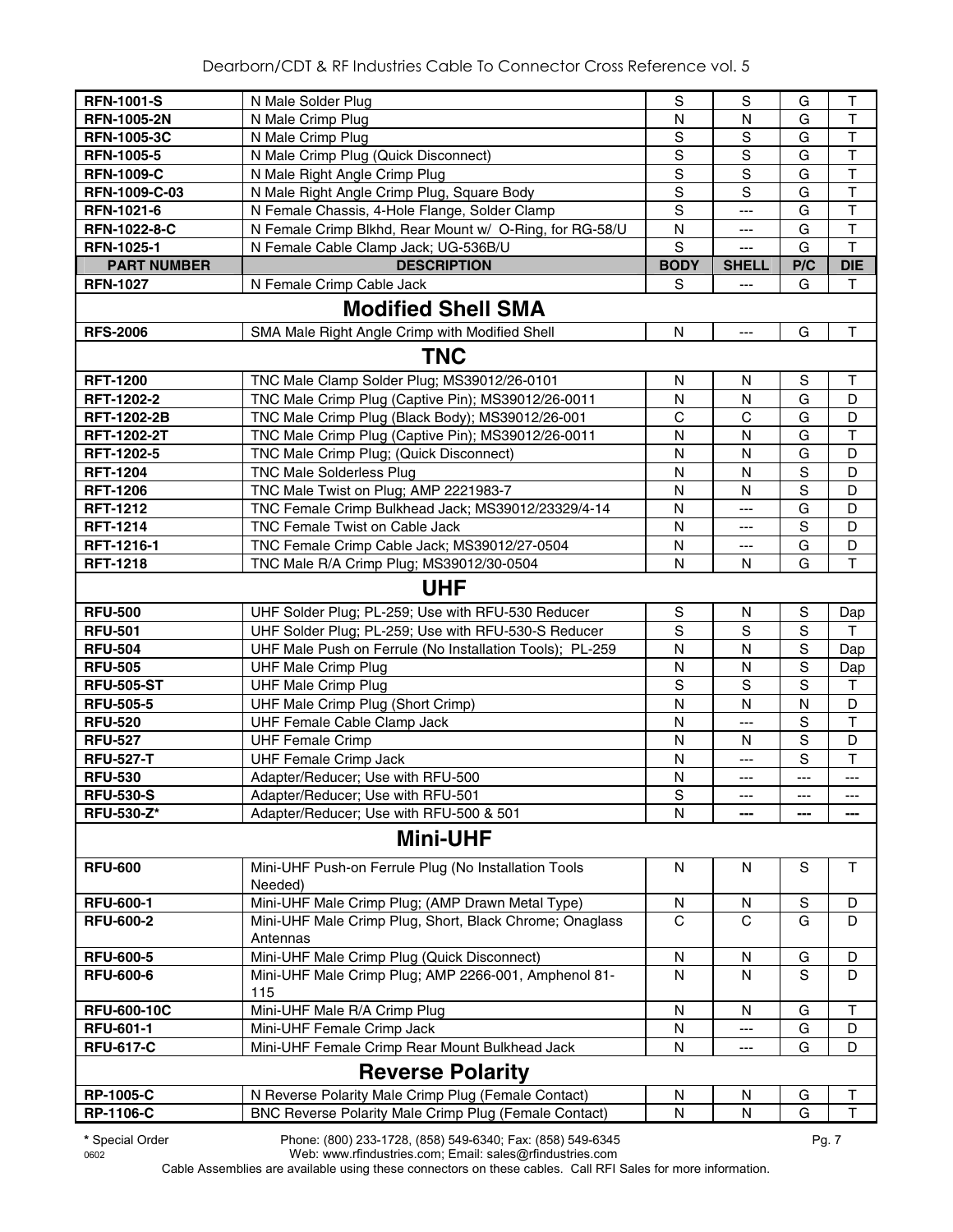| <b>RFN-1001-S</b>   | N Male Solder Plug                                              | ${\mathsf S}$           | S            | G            | $\top$                  |  |  |  |
|---------------------|-----------------------------------------------------------------|-------------------------|--------------|--------------|-------------------------|--|--|--|
| <b>RFN-1005-2N</b>  | N Male Crimp Plug                                               | N                       | N            | G            | $\top$                  |  |  |  |
| <b>RFN-1005-3C</b>  | N Male Crimp Plug                                               | $\overline{s}$          | $\mathbf S$  | G            | $\overline{\mathsf{T}}$ |  |  |  |
| <b>RFN-1005-5</b>   | N Male Crimp Plug (Quick Disconnect)                            | ${\mathsf S}$           | $\mathbb S$  | G            | $\sf T$                 |  |  |  |
| <b>RFN-1009-C</b>   | N Male Right Angle Crimp Plug                                   | $\overline{s}$          | $\mathbf S$  | G            | $\overline{\mathsf{T}}$ |  |  |  |
| RFN-1009-C-03       | N Male Right Angle Crimp Plug, Square Body                      | $\overline{\mathbf{s}}$ | S            | G            | $\overline{\mathsf{T}}$ |  |  |  |
| RFN-1021-6          | N Female Chassis, 4-Hole Flange, Solder Clamp                   | $\overline{s}$          | ---          | G            | $\overline{\mathsf{T}}$ |  |  |  |
| <b>RFN-1022-8-C</b> | N Female Crimp Blkhd, Rear Mount w/ O-Ring, for RG-58/U         | N                       | ---          | G            | $\overline{\mathsf{T}}$ |  |  |  |
| RFN-1025-1          | N Female Cable Clamp Jack; UG-536B/U                            | S                       | ---          | G            | $\overline{\mathsf{T}}$ |  |  |  |
| <b>PART NUMBER</b>  | <b>DESCRIPTION</b>                                              | <b>BODY</b>             | <b>SHELL</b> | P/C          | <b>DIE</b>              |  |  |  |
| <b>RFN-1027</b>     | N Female Crimp Cable Jack                                       | S                       | ---          | G            | Τ                       |  |  |  |
|                     | <b>Modified Shell SMA</b>                                       |                         |              |              |                         |  |  |  |
| <b>RFS-2006</b>     | SMA Male Right Angle Crimp with Modified Shell                  | ${\sf N}$               | ---          | G            | $\mathsf{T}$            |  |  |  |
|                     |                                                                 |                         |              |              |                         |  |  |  |
|                     | <b>TNC</b>                                                      |                         |              |              |                         |  |  |  |
| <b>RFT-1200</b>     | TNC Male Clamp Solder Plug; MS39012/26-0101                     | N                       | N            | S            | Τ                       |  |  |  |
| RFT-1202-2          | TNC Male Crimp Plug (Captive Pin); MS39012/26-0011              | N                       | N            | G            | D                       |  |  |  |
| <b>RFT-1202-2B</b>  | TNC Male Crimp Plug (Black Body); MS39012/26-001                | C                       | C            | G            | D                       |  |  |  |
| RFT-1202-2T         | TNC Male Crimp Plug (Captive Pin); MS39012/26-0011              | N                       | N            | G            | $\top$                  |  |  |  |
| RFT-1202-5          | TNC Male Crimp Plug; (Quick Disconnect)                         | N                       | N            | G            | D                       |  |  |  |
| <b>RFT-1204</b>     | <b>TNC Male Solderless Plug</b>                                 | N                       | N            | S            | D                       |  |  |  |
| <b>RFT-1206</b>     | TNC Male Twist on Plug; AMP 2221983-7                           | N                       | N            | S            | D                       |  |  |  |
| <b>RFT-1212</b>     | TNC Female Crimp Bulkhead Jack; MS39012/23329/4-14              | N                       | ---          | G            | D                       |  |  |  |
| <b>RFT-1214</b>     | TNC Female Twist on Cable Jack                                  | N                       | ---          | S            | D                       |  |  |  |
| RFT-1216-1          | TNC Female Crimp Cable Jack; MS39012/27-0504                    | N                       | ---          | G            | D                       |  |  |  |
| <b>RFT-1218</b>     | TNC Male R/A Crimp Plug; MS39012/30-0504                        | N                       | N            | G            | T                       |  |  |  |
| <b>UHF</b>          |                                                                 |                         |              |              |                         |  |  |  |
| <b>RFU-500</b>      | UHF Solder Plug; PL-259; Use with RFU-530 Reducer               | $\mathbf S$             | N            | $\mathbf S$  | Dap                     |  |  |  |
| <b>RFU-501</b>      | UHF Solder Plug; PL-259; Use with RFU-530-S Reducer             | $\mathbf S$             | $\mathbb S$  | S            | T                       |  |  |  |
| <b>RFU-504</b>      | UHF Male Push on Ferrule (No Installation Tools); PL-259        | N                       | N            | S            | Dap                     |  |  |  |
| <b>RFU-505</b>      | <b>UHF Male Crimp Plug</b>                                      | N                       | N            | S            | Dap                     |  |  |  |
| <b>RFU-505-ST</b>   | <b>UHF Male Crimp Plug</b>                                      | $\mathbf S$             | S            | $\mathbf S$  | Τ                       |  |  |  |
| <b>RFU-505-5</b>    | UHF Male Crimp Plug (Short Crimp)                               | $\mathsf{N}$            | $\mathsf{N}$ | $\mathsf{N}$ | D                       |  |  |  |
| <b>RFU-520</b>      | UHF Female Cable Clamp Jack                                     | N                       | ---          | S            | $\top$                  |  |  |  |
| <b>RFU-527</b>      | <b>UHF Female Crimp</b>                                         | N                       | N            | $\mathbf S$  | D                       |  |  |  |
| <b>RFU-527-T</b>    | <b>UHF Female Crimp Jack</b>                                    | N                       | ---          | S            | $\mathsf{T}$            |  |  |  |
| <b>RFU-530</b>      | Adapter/Reducer; Use with RFU-500                               | N                       | ---          | ---          | ---                     |  |  |  |
| <b>RFU-530-S</b>    | Adapter/Reducer; Use with RFU-501                               | S                       | ---          | ---          | ---                     |  |  |  |
| <b>RFU-530-Z*</b>   | Adapter/Reducer; Use with RFU-500 & 501                         | N                       |              |              | ---                     |  |  |  |
|                     | <b>Mini-UHF</b>                                                 |                         |              |              |                         |  |  |  |
|                     |                                                                 |                         |              |              |                         |  |  |  |
| <b>RFU-600</b>      | Mini-UHF Push-on Ferrule Plug (No Installation Tools<br>Needed) | N                       | N            | S            | $\mathsf{T}$            |  |  |  |
| <b>RFU-600-1</b>    | Mini-UHF Male Crimp Plug; (AMP Drawn Metal Type)                | N                       | N            | S            | D                       |  |  |  |
| <b>RFU-600-2</b>    | Mini-UHF Male Crimp Plug, Short, Black Chrome; Onaglass         | C                       | C            | G            | D                       |  |  |  |
|                     | Antennas                                                        |                         |              |              |                         |  |  |  |
| <b>RFU-600-5</b>    | Mini-UHF Male Crimp Plug (Quick Disconnect)                     | N                       | N            | G            | D                       |  |  |  |
| <b>RFU-600-6</b>    | Mini-UHF Male Crimp Plug; AMP 2266-001, Amphenol 81-<br>115     | N                       | N            | S            | D                       |  |  |  |
| <b>RFU-600-10C</b>  | Mini-UHF Male R/A Crimp Plug                                    | N                       | N            | G            | $\mathsf T$             |  |  |  |
| <b>RFU-601-1</b>    | Mini-UHF Female Crimp Jack                                      | N                       | ---          | G            | D                       |  |  |  |
| <b>RFU-617-C</b>    | Mini-UHF Female Crimp Rear Mount Bulkhead Jack                  | N                       | ---          | G            | D                       |  |  |  |
|                     | <b>Reverse Polarity</b>                                         |                         |              |              |                         |  |  |  |
| <b>RP-1005-C</b>    | N Reverse Polarity Male Crimp Plug (Female Contact)             | N                       | ${\sf N}$    | G            | $\sf T$                 |  |  |  |
| <b>RP-1106-C</b>    | BNC Reverse Polarity Male Crimp Plug (Female Contact)           | ${\sf N}$               | N            | G            | T                       |  |  |  |
|                     |                                                                 |                         |              |              |                         |  |  |  |

0602 Web: www.rfindustries.com; Email: sales@rfindustries.com

**\*** Special Order Phone: (800) 233-1728, (858) 549-6340; Fax: (858) 549-6345 Pg. 7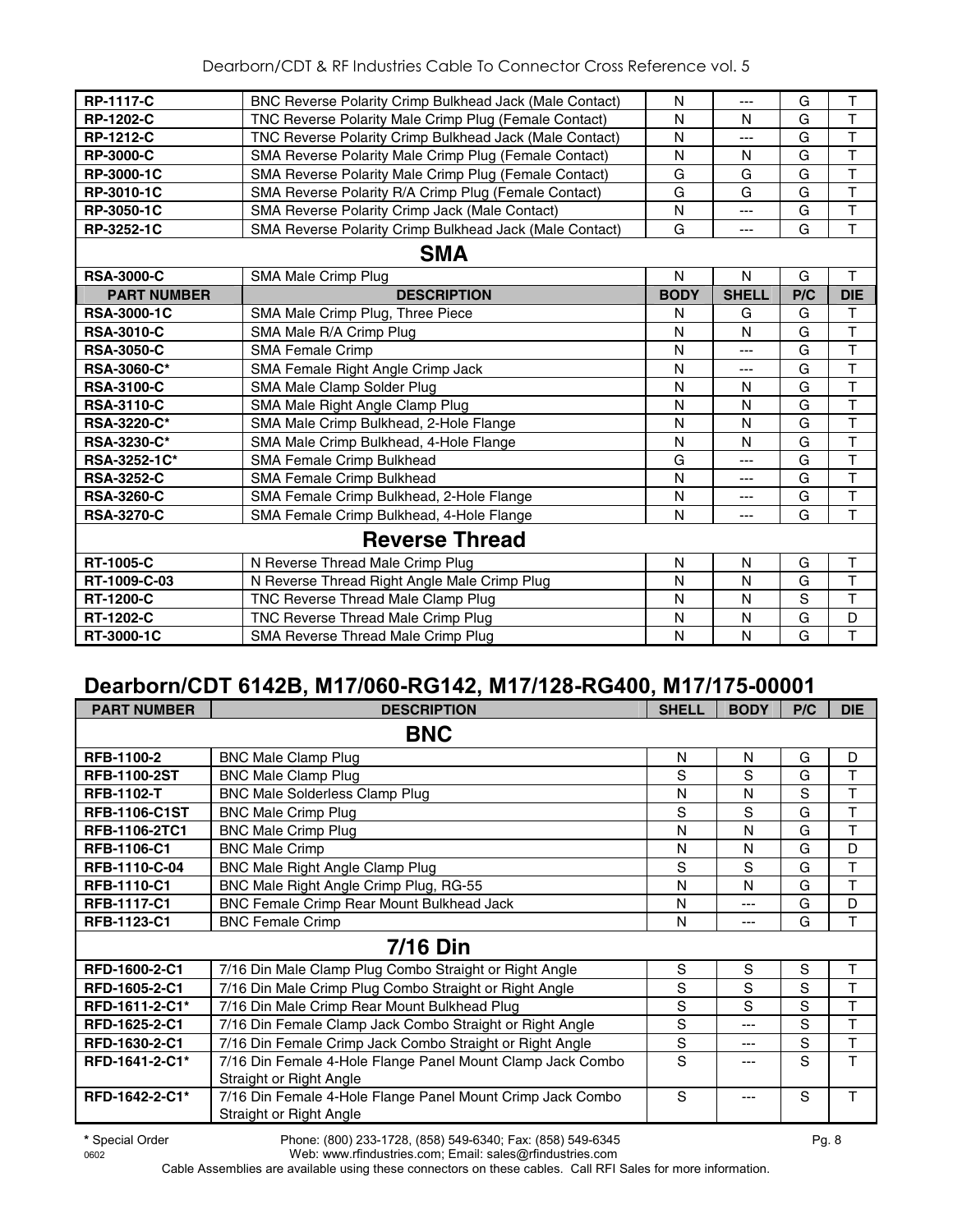| RP-3010-1C | SMA Reverse Polarity R/A Crimp Plug (Female Contact)    | G | G       | G |  |
|------------|---------------------------------------------------------|---|---------|---|--|
| RP-3050-1C | SMA Reverse Polarity Crimp Jack (Male Contact)          | N | $---$   | G |  |
| RP-3252-1C | SMA Reverse Polarity Crimp Bulkhead Jack (Male Contact) | G | $- - -$ | G |  |

## **SMA**

|                       | UIVIA                                        |             |              |     |            |  |  |  |
|-----------------------|----------------------------------------------|-------------|--------------|-----|------------|--|--|--|
| <b>RSA-3000-C</b>     | SMA Male Crimp Plug                          | N           | N            | G   |            |  |  |  |
| <b>PART NUMBER</b>    | <b>DESCRIPTION</b>                           | <b>BODY</b> | <b>SHELL</b> | P/C | <b>DIE</b> |  |  |  |
| <b>RSA-3000-1C</b>    | SMA Male Crimp Plug, Three Piece             | N           | G            | G   |            |  |  |  |
| <b>RSA-3010-C</b>     | SMA Male R/A Crimp Plug                      | N           | N            | G   | Т          |  |  |  |
| <b>RSA-3050-C</b>     | <b>SMA Female Crimp</b>                      | N           | ---          | G   | Т          |  |  |  |
| <b>RSA-3060-C*</b>    | SMA Female Right Angle Crimp Jack            | N           |              | G   |            |  |  |  |
| <b>RSA-3100-C</b>     | SMA Male Clamp Solder Plug                   | N           | N            | G   |            |  |  |  |
| <b>RSA-3110-C</b>     | SMA Male Right Angle Clamp Plug              | N           | N            | G   | т          |  |  |  |
| <b>RSA-3220-C*</b>    | SMA Male Crimp Bulkhead, 2-Hole Flange       | N           | N            | G   | Т          |  |  |  |
| <b>RSA-3230-C*</b>    | SMA Male Crimp Bulkhead, 4-Hole Flange       | N           | N            | G   | Т          |  |  |  |
| RSA-3252-1C*          | <b>SMA Female Crimp Bulkhead</b>             | G           | ---          | G   | т          |  |  |  |
| <b>RSA-3252-C</b>     | SMA Female Crimp Bulkhead                    | N           | ---          | G   | Т          |  |  |  |
| <b>RSA-3260-C</b>     | SMA Female Crimp Bulkhead, 2-Hole Flange     | N           | ---          | G   | Т          |  |  |  |
| <b>RSA-3270-C</b>     | SMA Female Crimp Bulkhead, 4-Hole Flange     | N           |              | G   | т          |  |  |  |
| <b>Reverse Thread</b> |                                              |             |              |     |            |  |  |  |
| <b>RT-1005-C</b>      | N Reverse Thread Male Crimp Plug             | N           | N            | G   | т          |  |  |  |
| RT-1009-C-03          | N Reverse Thread Right Angle Male Crimp Plug | N           | N            | G   |            |  |  |  |
| <b>RT-1200-C</b>      | TNC Reverse Thread Male Clamp Plug           | N           | N            | S   | т          |  |  |  |
| <b>RT-1202-C</b>      | TNC Reverse Thread Male Crimp Plug           | N           | N            | G   | D          |  |  |  |
| RT-3000-1C            | SMA Reverse Thread Male Crimp Plug           | N           | N            | G   | т          |  |  |  |

## **Dearborn/CDT 6142B, M17/060-RG142, M17/128-RG400, M17/175-00001**

| <b>PART NUMBER</b>   | <b>DESCRIPTION</b>                                                                    | <b>SHELL</b> | <b>BODY</b> | P/C | <b>DIE</b> |  |  |  |  |
|----------------------|---------------------------------------------------------------------------------------|--------------|-------------|-----|------------|--|--|--|--|
| <b>BNC</b>           |                                                                                       |              |             |     |            |  |  |  |  |
| RFB-1100-2           | <b>BNC Male Clamp Plug</b>                                                            | N            | N           | G   | D          |  |  |  |  |
| <b>RFB-1100-2ST</b>  | <b>BNC Male Clamp Plug</b>                                                            | S            | S           | G   | T          |  |  |  |  |
| <b>RFB-1102-T</b>    | <b>BNC Male Solderless Clamp Plug</b>                                                 | N            | N           | S   | T          |  |  |  |  |
| <b>RFB-1106-C1ST</b> | <b>BNC Male Crimp Plug</b>                                                            | S            | S           | G   | T          |  |  |  |  |
| <b>RFB-1106-2TC1</b> | <b>BNC Male Crimp Plug</b>                                                            | N            | N           | G   | T          |  |  |  |  |
| <b>RFB-1106-C1</b>   | <b>BNC Male Crimp</b>                                                                 | N            | N           | G   | D          |  |  |  |  |
| RFB-1110-C-04        | BNC Male Right Angle Clamp Plug                                                       | S            | S           | G   | T          |  |  |  |  |
| RFB-1110-C1          | BNC Male Right Angle Crimp Plug, RG-55                                                | N            | N           | G   | T          |  |  |  |  |
| <b>RFB-1117-C1</b>   | BNC Female Crimp Rear Mount Bulkhead Jack                                             | N            | ---         | G   | D          |  |  |  |  |
| RFB-1123-C1          | <b>BNC Female Crimp</b>                                                               | N            | ---         | G   | T          |  |  |  |  |
|                      | <b>7/16 Din</b>                                                                       |              |             |     |            |  |  |  |  |
| RFD-1600-2-C1        | 7/16 Din Male Clamp Plug Combo Straight or Right Angle                                | S            | S           | S   | Τ          |  |  |  |  |
| RFD-1605-2-C1        | 7/16 Din Male Crimp Plug Combo Straight or Right Angle                                | S            | S           | S   | T          |  |  |  |  |
| RFD-1611-2-C1*       | 7/16 Din Male Crimp Rear Mount Bulkhead Plug                                          | S            | S           | S   | T          |  |  |  |  |
| RFD-1625-2-C1        | 7/16 Din Female Clamp Jack Combo Straight or Right Angle                              | S            | ---         | S   | T          |  |  |  |  |
| RFD-1630-2-C1        | 7/16 Din Female Crimp Jack Combo Straight or Right Angle                              | S            | ---         | S   | T          |  |  |  |  |
| RFD-1641-2-C1*       | 7/16 Din Female 4-Hole Flange Panel Mount Clamp Jack Combo                            | S            |             | S   | T          |  |  |  |  |
|                      | Straight or Right Angle                                                               |              |             |     |            |  |  |  |  |
| RFD-1642-2-C1*       | 7/16 Din Female 4-Hole Flange Panel Mount Crimp Jack Combo<br>Straight or Right Angle | S            |             | S   | Т          |  |  |  |  |

**\*** Special Order Phone: (800) 233-1728, (858) 549-6340; Fax: (858) 549-6345 Pg. 8 Web: www.rfindustries.com; Email: sales@rfindustries.com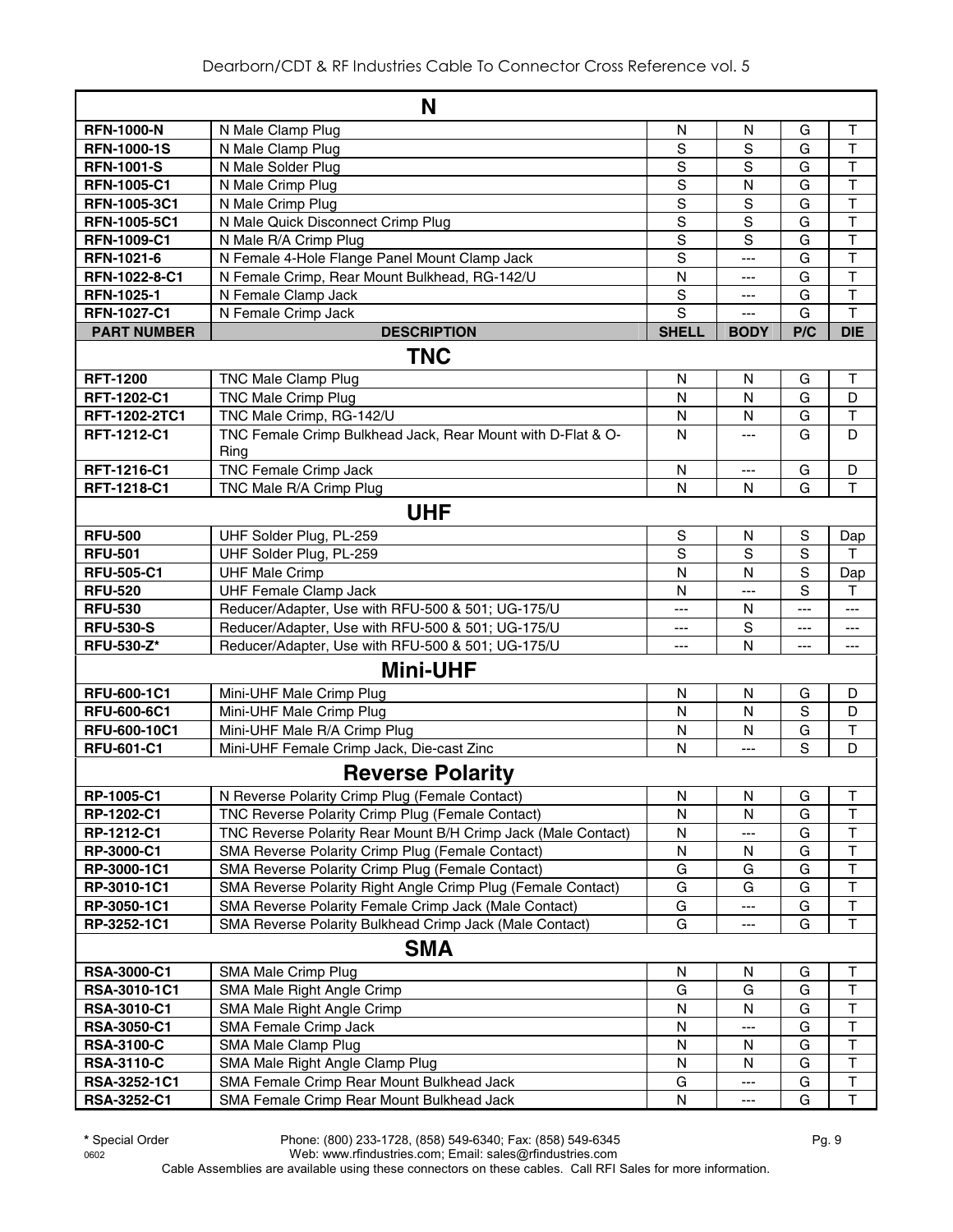|                    | N                                                             |                         |                |                |                         |  |  |  |
|--------------------|---------------------------------------------------------------|-------------------------|----------------|----------------|-------------------------|--|--|--|
| <b>RFN-1000-N</b>  | N Male Clamp Plug                                             | N                       | N              | G              | Τ                       |  |  |  |
| <b>RFN-1000-1S</b> | N Male Clamp Plug                                             | S                       | S              | G              | T                       |  |  |  |
| <b>RFN-1001-S</b>  | N Male Solder Plug                                            | $\mathbf S$             | S              | G              | $\overline{\mathsf{T}}$ |  |  |  |
| <b>RFN-1005-C1</b> | N Male Crimp Plug                                             | S                       | $\mathsf{N}$   | G              | $\mathsf T$             |  |  |  |
| RFN-1005-3C1       | N Male Crimp Plug                                             | $\mathsf S$             | $\mathbf S$    | G              | T                       |  |  |  |
| RFN-1005-5C1       | N Male Quick Disconnect Crimp Plug                            | $\mathbf S$             | S              | G              | $\overline{\mathsf{T}}$ |  |  |  |
| <b>RFN-1009-C1</b> | N Male R/A Crimp Plug                                         | $\overline{s}$          | $\overline{s}$ | G              | $\overline{\mathsf{T}}$ |  |  |  |
| RFN-1021-6         | N Female 4-Hole Flange Panel Mount Clamp Jack                 | $\mathbf S$             | $---$          | G              | T                       |  |  |  |
| RFN-1022-8-C1      | N Female Crimp, Rear Mount Bulkhead, RG-142/U                 | $\overline{\mathsf{N}}$ | ---            | G              | T                       |  |  |  |
| RFN-1025-1         | N Female Clamp Jack                                           | $\mathbf S$             | $---$          | G              | T                       |  |  |  |
| <b>RFN-1027-C1</b> | N Female Crimp Jack                                           | $\mathbf S$             | $\overline{a}$ | G              | T                       |  |  |  |
| <b>PART NUMBER</b> | <b>DESCRIPTION</b>                                            | <b>SHELL</b>            | <b>BODY</b>    | P/C            | <b>DIE</b>              |  |  |  |
|                    | <b>TNC</b>                                                    |                         |                |                |                         |  |  |  |
| <b>RFT-1200</b>    | <b>TNC Male Clamp Plug</b>                                    | N                       | N              | G              | $\mathsf{T}$            |  |  |  |
| RFT-1202-C1        | <b>TNC Male Crimp Plug</b>                                    | $\mathsf{N}$            | $\mathsf{N}$   | G              | D                       |  |  |  |
| RFT-1202-2TC1      | TNC Male Crimp, RG-142/U                                      | N                       | N              | G              | $\top$                  |  |  |  |
| RFT-1212-C1        | TNC Female Crimp Bulkhead Jack, Rear Mount with D-Flat & O-   | N                       | $\overline{a}$ | G              | D                       |  |  |  |
|                    | Ring                                                          |                         |                |                |                         |  |  |  |
| RFT-1216-C1        | <b>TNC Female Crimp Jack</b>                                  | N                       | ---            | G              | D                       |  |  |  |
| RFT-1218-C1        | TNC Male R/A Crimp Plug                                       | $\mathsf{N}$            | N              | G              | T                       |  |  |  |
|                    | <b>UHF</b>                                                    |                         |                |                |                         |  |  |  |
| <b>RFU-500</b>     | UHF Solder Plug, PL-259                                       | $\mathbb S$             | N              | $\mathbf S$    | Dap                     |  |  |  |
| <b>RFU-501</b>     | UHF Solder Plug, PL-259                                       | $\overline{s}$          | S              | $\overline{s}$ | т                       |  |  |  |
| <b>RFU-505-C1</b>  | <b>UHF Male Crimp</b>                                         | $\mathsf{N}$            | $\mathsf{N}$   | $\mathbf S$    | Dap                     |  |  |  |
| <b>RFU-520</b>     | <b>UHF Female Clamp Jack</b>                                  | $\mathsf{N}$            | ---            | S              | $\mathsf T$             |  |  |  |
| <b>RFU-530</b>     | Reducer/Adapter, Use with RFU-500 & 501; UG-175/U             | ---                     | N              | ---            | ---                     |  |  |  |
| <b>RFU-530-S</b>   | Reducer/Adapter, Use with RFU-500 & 501; UG-175/U             | ---                     | S              | ---            | ---                     |  |  |  |
| <b>RFU-530-Z*</b>  | Reducer/Adapter, Use with RFU-500 & 501; UG-175/U             | ---                     | N              | ---            | ---                     |  |  |  |
|                    | <b>Mini-UHF</b>                                               |                         |                |                |                         |  |  |  |
| RFU-600-1C1        | Mini-UHF Male Crimp Plug                                      | $\mathsf{N}$            | $\mathsf{N}$   | G              | D                       |  |  |  |
| RFU-600-6C1        | Mini-UHF Male Crimp Plug                                      | N                       | $\mathsf{N}$   | $\mathbf S$    | D                       |  |  |  |
| RFU-600-10C1       | Mini-UHF Male R/A Crimp Plug                                  | N                       | N              | G              | T                       |  |  |  |
| <b>RFU-601-C1</b>  | Mini-UHF Female Crimp Jack, Die-cast Zinc                     | N                       | ---            | S              | $\mathsf{D}$            |  |  |  |
|                    | <b>Reverse Polarity</b>                                       |                         |                |                |                         |  |  |  |
| RP-1005-C1         | N Reverse Polarity Crimp Plug (Female Contact)                | N                       | ${\sf N}$      | G              | $\mathsf T$             |  |  |  |
| RP-1202-C1         | TNC Reverse Polarity Crimp Plug (Female Contact)              | N                       | N              | G              | $\top$                  |  |  |  |
| RP-1212-C1         | TNC Reverse Polarity Rear Mount B/H Crimp Jack (Male Contact) | N                       | ---            | G              | $\overline{\mathsf{T}}$ |  |  |  |
| RP-3000-C1         | SMA Reverse Polarity Crimp Plug (Female Contact)              | N                       | N              | G              | T                       |  |  |  |
| RP-3000-1C1        | SMA Reverse Polarity Crimp Plug (Female Contact)              | G                       | G              | G              | $\overline{\mathsf{T}}$ |  |  |  |
| RP-3010-1C1        | SMA Reverse Polarity Right Angle Crimp Plug (Female Contact)  | G                       | G              | G              | T                       |  |  |  |
| RP-3050-1C1        | SMA Reverse Polarity Female Crimp Jack (Male Contact)         | G                       | ---            | G              | $\sf T$                 |  |  |  |
| RP-3252-1C1        | SMA Reverse Polarity Bulkhead Crimp Jack (Male Contact)       | G                       |                | G              | $\overline{\mathsf{T}}$ |  |  |  |
|                    | <b>SMA</b>                                                    |                         |                |                |                         |  |  |  |
| <b>RSA-3000-C1</b> | SMA Male Crimp Plug                                           | N                       | N              | G              | Τ                       |  |  |  |
| RSA-3010-1C1       | SMA Male Right Angle Crimp                                    | G                       | G              | G              | T                       |  |  |  |
| RSA-3010-C1        | SMA Male Right Angle Crimp                                    | N                       | N              | G              | T                       |  |  |  |
| <b>RSA-3050-C1</b> | SMA Female Crimp Jack                                         | N                       |                | G              | $\overline{\mathsf{T}}$ |  |  |  |
| <b>RSA-3100-C</b>  | SMA Male Clamp Plug                                           | N                       | N              | G              | $\top$                  |  |  |  |
| <b>RSA-3110-C</b>  | SMA Male Right Angle Clamp Plug                               | N                       | N              | G              | $\top$                  |  |  |  |
| RSA-3252-1C1       | SMA Female Crimp Rear Mount Bulkhead Jack                     | G                       | ---            | G              | $\top$                  |  |  |  |
| RSA-3252-C1        | SMA Female Crimp Rear Mount Bulkhead Jack                     | ${\sf N}$               | ---            | G              | $\mathsf T$             |  |  |  |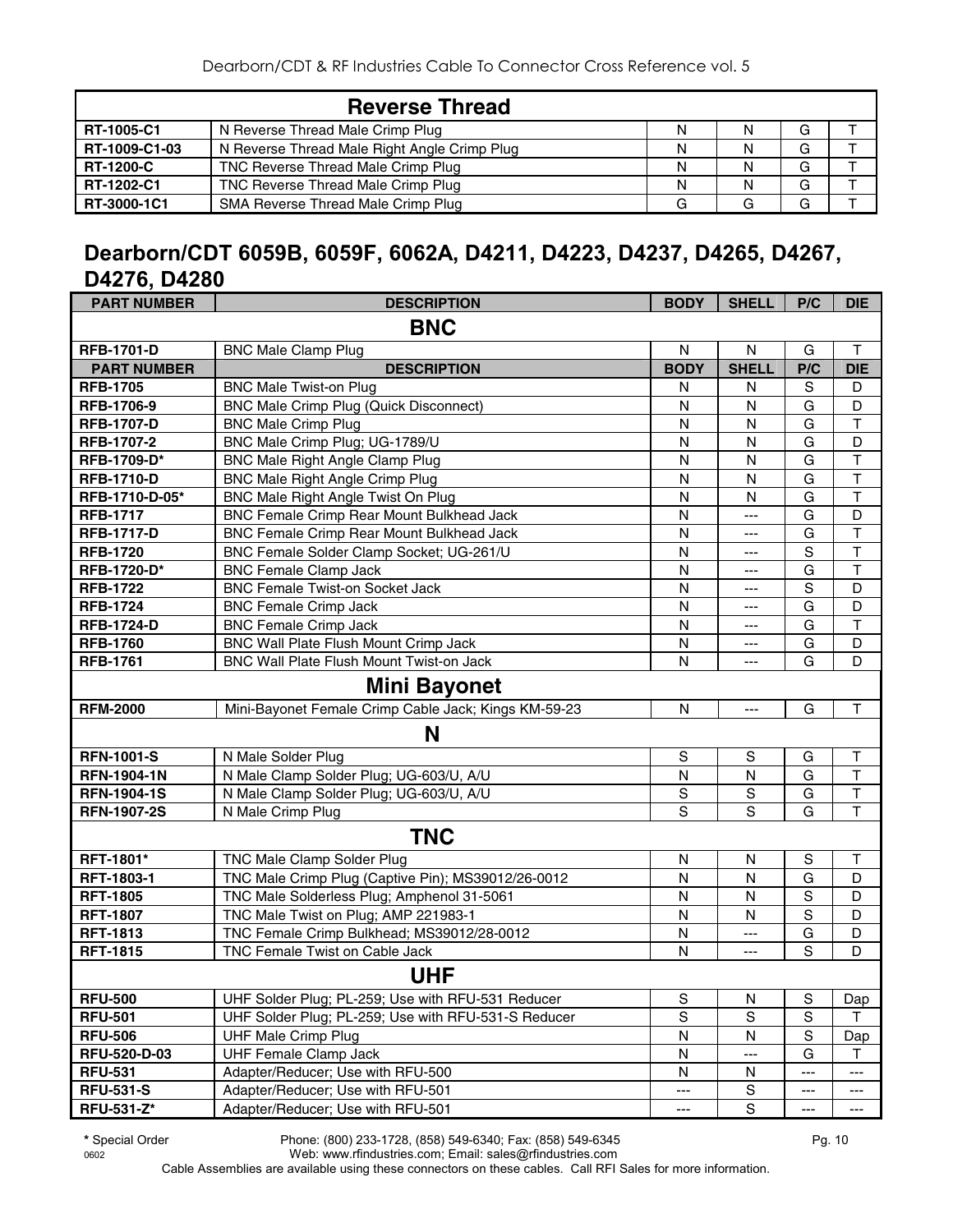|                  | <b>Reverse Thread</b>                        |  |   |  |
|------------------|----------------------------------------------|--|---|--|
| RT-1005-C1       | N Reverse Thread Male Crimp Plug             |  | G |  |
| RT-1009-C1-03    | N Reverse Thread Male Right Angle Crimp Plug |  | G |  |
| <b>RT-1200-C</b> | TNC Reverse Thread Male Crimp Plug           |  | G |  |
| RT-1202-C1       | TNC Reverse Thread Male Crimp Plug           |  | G |  |
| RT-3000-1C1      | SMA Reverse Thread Male Crimp Plug           |  | G |  |

## **Dearborn/CDT 6059B, 6059F, 6062A, D4211, D4223, D4237, D4265, D4267, D4276, D4280**

| <b>PART NUMBER</b> | <b>DESCRIPTION</b>                                   | <b>BODY</b>    | <b>SHELL</b>   | P/C            | <b>DIE</b>              |
|--------------------|------------------------------------------------------|----------------|----------------|----------------|-------------------------|
|                    | <b>BNC</b>                                           |                |                |                |                         |
| <b>RFB-1701-D</b>  | <b>BNC Male Clamp Plug</b>                           | N              | N              | G              | Т                       |
| <b>PART NUMBER</b> | <b>DESCRIPTION</b>                                   | <b>BODY</b>    | <b>SHELL</b>   | P/C            | <b>DIE</b>              |
| <b>RFB-1705</b>    | <b>BNC Male Twist-on Plug</b>                        | N              | N              | S              | D                       |
| RFB-1706-9         | <b>BNC Male Crimp Plug (Quick Disconnect)</b>        | N              | N              | G              | D                       |
| <b>RFB-1707-D</b>  | <b>BNC Male Crimp Plug</b>                           | N              | N              | G              | $\overline{\mathsf{T}}$ |
| <b>RFB-1707-2</b>  | BNC Male Crimp Plug; UG-1789/U                       | N              | N              | G              | D                       |
| RFB-1709-D*        | <b>BNC Male Right Angle Clamp Plug</b>               | N              | N              | G              | $\overline{\mathsf{T}}$ |
| <b>RFB-1710-D</b>  | <b>BNC Male Right Angle Crimp Plug</b>               | $\mathsf{N}$   | N              | $\overline{G}$ | $\overline{\mathsf{T}}$ |
| RFB-1710-D-05*     | BNC Male Right Angle Twist On Plug                   | $\mathsf{N}$   | N              | G              | $\overline{\mathsf{T}}$ |
| <b>RFB-1717</b>    | BNC Female Crimp Rear Mount Bulkhead Jack            | N              | ---            | G              | D                       |
| <b>RFB-1717-D</b>  | BNC Female Crimp Rear Mount Bulkhead Jack            | N              | ---            | G              | $\top$                  |
| <b>RFB-1720</b>    | BNC Female Solder Clamp Socket; UG-261/U             | N              | ---            | $\overline{s}$ | $\overline{\mathsf{T}}$ |
| <b>RFB-1720-D*</b> | <b>BNC Female Clamp Jack</b>                         | N              | ---            | G              | $\overline{\mathsf{T}}$ |
| <b>RFB-1722</b>    | <b>BNC Female Twist-on Socket Jack</b>               | N              | $---$          | S              | D                       |
| <b>RFB-1724</b>    | <b>BNC Female Crimp Jack</b>                         | N              | ---            | G              | D                       |
| <b>RFB-1724-D</b>  | <b>BNC Female Crimp Jack</b>                         | N              | ---            | G              | $\mathsf T$             |
| <b>RFB-1760</b>    | <b>BNC Wall Plate Flush Mount Crimp Jack</b>         | N              | ---            | G              | D                       |
| <b>RFB-1761</b>    | BNC Wall Plate Flush Mount Twist-on Jack             | N              | ---            | G              | D                       |
|                    | <b>Mini Bayonet</b>                                  |                |                |                |                         |
| <b>RFM-2000</b>    | Mini-Bayonet Female Crimp Cable Jack; Kings KM-59-23 | $\mathsf{N}$   | ---            | G              | $\mathsf T$             |
|                    | N                                                    |                |                |                |                         |
| <b>RFN-1001-S</b>  | N Male Solder Plug                                   | S              | S              | G              | T                       |
| <b>RFN-1904-1N</b> | N Male Clamp Solder Plug; UG-603/U, A/U              | N              | N              | G              | $\mathsf{T}$            |
| <b>RFN-1904-1S</b> | N Male Clamp Solder Plug; UG-603/U, A/U              | $\mathbb S$    | $\mathbf S$    | G              | $\sf T$                 |
| <b>RFN-1907-2S</b> | N Male Crimp Plug                                    | $\overline{s}$ | $\overline{s}$ | G              | $\overline{\mathsf{T}}$ |
|                    | <b>TNC</b>                                           |                |                |                |                         |
| RFT-1801*          | <b>TNC Male Clamp Solder Plug</b>                    | N              | N              | $\mathbf S$    | $\top$                  |
| RFT-1803-1         | TNC Male Crimp Plug (Captive Pin); MS39012/26-0012   | N              | N              | G              | D                       |
| <b>RFT-1805</b>    | TNC Male Solderless Plug; Amphenol 31-5061           | N              | N              | $\mathbf S$    | D                       |
| <b>RFT-1807</b>    | TNC Male Twist on Plug; AMP 221983-1                 | N              | N              | $\mathbf S$    | D                       |
| <b>RFT-1813</b>    | TNC Female Crimp Bulkhead; MS39012/28-0012           | N              | ---            | G              | D                       |
| <b>RFT-1815</b>    | TNC Female Twist on Cable Jack                       | N              | ---            | S              | D                       |
|                    | <b>UHF</b>                                           |                |                |                |                         |
| <b>RFU-500</b>     | UHF Solder Plug; PL-259; Use with RFU-531 Reducer    | ${\sf S}$      | N              | $\mathbb S$    | Dap                     |
| <b>RFU-501</b>     | UHF Solder Plug; PL-259; Use with RFU-531-S Reducer  | $\overline{s}$ | S              | $\overline{s}$ | $\mathsf{T}$            |
| <b>RFU-506</b>     | <b>UHF Male Crimp Plug</b>                           | N              | N              | $\mathsf S$    | Dap                     |
| RFU-520-D-03       | <b>UHF Female Clamp Jack</b>                         | N              | ---            | G              | T.                      |
| <b>RFU-531</b>     | Adapter/Reducer; Use with RFU-500                    | N              | N              | ---            | $\qquad \qquad -$       |
| <b>RFU-531-S</b>   | Adapter/Reducer; Use with RFU-501                    | ---            | S              | ---            | ---                     |
| <b>RFU-531-Z*</b>  | Adapter/Reducer; Use with RFU-501                    | ---            | S              | ---            | $---$                   |

**\*** Special Order Phone: (800) 233-1728, (858) 549-6340; Fax: (858) 549-6345 Pg. 10 Web: www.rfindustries.com; Email: sales@rfindustries.com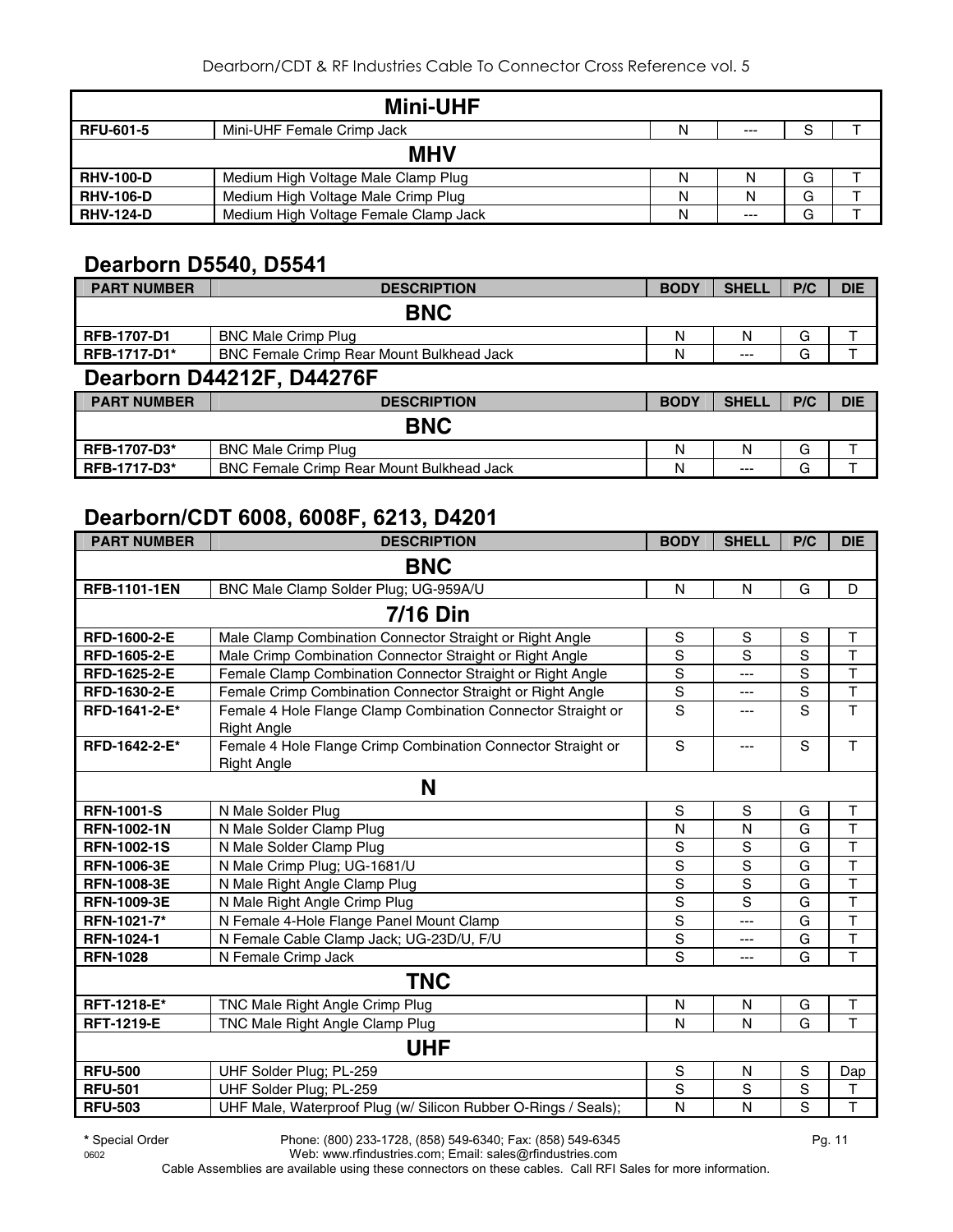|                  | <b>Mini-UHF</b>                       |   |       |   |  |  |  |  |
|------------------|---------------------------------------|---|-------|---|--|--|--|--|
| <b>RFU-601-5</b> | Mini-UHF Female Crimp Jack            | N | $---$ | S |  |  |  |  |
| <b>MHV</b>       |                                       |   |       |   |  |  |  |  |
| <b>RHV-100-D</b> | Medium High Voltage Male Clamp Plug   | Ν | N     | G |  |  |  |  |
| <b>RHV-106-D</b> | Medium High Voltage Male Crimp Plug   | N | N     | G |  |  |  |  |
| <b>RHV-124-D</b> | Medium High Voltage Female Clamp Jack | N | $--$  | G |  |  |  |  |

## **Dearborn D5540, D5541**

| <b>PART NUMBER</b>       | <b>DESCRIPTION</b>                               | <b>BODY</b> | <b>SHELL</b> | P/C | <b>DIE</b> |  |
|--------------------------|--------------------------------------------------|-------------|--------------|-----|------------|--|
|                          | <b>BNC</b>                                       |             |              |     |            |  |
| <b>RFB-1707-D1</b>       | <b>BNC Male Crimp Plug</b>                       | N           | N            | G   |            |  |
| RFB-1717-D1*             | <b>BNC Female Crimp Rear Mount Bulkhead Jack</b> | N           | $---$        | G   |            |  |
| Beschaus B44040F B44070F |                                                  |             |              |     |            |  |

#### **Dearborn D44212F, D44276F**

| <b>PART NUMBER</b>  | <b>DESCRIPTION</b>                               | <b>BODY</b> | <b>SHEL</b> | P/C    | <b>DIE</b> |
|---------------------|--------------------------------------------------|-------------|-------------|--------|------------|
|                     | <b>BNC</b>                                       |             |             |        |            |
| <b>RFB-1707-D3*</b> | <b>BNC Male Crimp Plug</b>                       | Ν           | N           | ⌒<br>G |            |
| <b>RFB-1717-D3*</b> | <b>BNC Female Crimp Rear Mount Bulkhead Jack</b> | N           | $---$       | ⌒<br>G |            |

## **Dearborn/CDT 6008, 6008F, 6213, D4201**

| <b>PART NUMBER</b>  | <b>DESCRIPTION</b>                                                                 | <b>BODY</b>    | <b>SHELL</b>   | P/C            | <b>DIE</b>              |  |  |  |  |
|---------------------|------------------------------------------------------------------------------------|----------------|----------------|----------------|-------------------------|--|--|--|--|
| <b>BNC</b>          |                                                                                    |                |                |                |                         |  |  |  |  |
| <b>RFB-1101-1EN</b> | BNC Male Clamp Solder Plug; UG-959A/U                                              | N              | $\mathsf{N}$   | G              | D                       |  |  |  |  |
|                     | <b>7/16 Din</b>                                                                    |                |                |                |                         |  |  |  |  |
| RFD-1600-2-E        | Male Clamp Combination Connector Straight or Right Angle                           | S              | S              | S              | $\mathsf{T}$            |  |  |  |  |
| RFD-1605-2-E        | Male Crimp Combination Connector Straight or Right Angle                           | $\overline{s}$ | $\overline{s}$ | $\overline{s}$ | $\overline{\mathsf{T}}$ |  |  |  |  |
| RFD-1625-2-E        | Female Clamp Combination Connector Straight or Right Angle                         | $\mathsf S$    | ---            | $\mathbf S$    | $\mathsf T$             |  |  |  |  |
| RFD-1630-2-E        | Female Crimp Combination Connector Straight or Right Angle                         | $\mathsf S$    | ---            | $\rm S$        | $\mathsf T$             |  |  |  |  |
| RFD-1641-2-E*       | Female 4 Hole Flange Clamp Combination Connector Straight or<br><b>Right Angle</b> | S              | ---            | $\overline{s}$ | $\overline{\mathsf{T}}$ |  |  |  |  |
| RFD-1642-2-E*       | Female 4 Hole Flange Crimp Combination Connector Straight or<br><b>Right Angle</b> | $\overline{s}$ | ---            | $\overline{s}$ | T                       |  |  |  |  |
|                     | N                                                                                  |                |                |                |                         |  |  |  |  |
| <b>RFN-1001-S</b>   | N Male Solder Plug                                                                 | S              | S              | G              | $\top$                  |  |  |  |  |
| <b>RFN-1002-1N</b>  | N Male Solder Clamp Plug                                                           | N              | N              | G              | $\top$                  |  |  |  |  |
| <b>RFN-1002-1S</b>  | N Male Solder Clamp Plug                                                           | S              | S              | $\overline{G}$ | $\overline{\mathsf{T}}$ |  |  |  |  |
| <b>RFN-1006-3E</b>  | N Male Crimp Plug; UG-1681/U                                                       | S              | S              | G              | T                       |  |  |  |  |
| <b>RFN-1008-3E</b>  | N Male Right Angle Clamp Plug                                                      | S              | S              | G              | T                       |  |  |  |  |
| <b>RFN-1009-3E</b>  | N Male Right Angle Crimp Plug                                                      | S              | S              | G              | $\overline{\mathsf{T}}$ |  |  |  |  |
| RFN-1021-7*         | N Female 4-Hole Flange Panel Mount Clamp                                           | S              | ---            | G              | $\mathsf T$             |  |  |  |  |
| <b>RFN-1024-1</b>   | N Female Cable Clamp Jack; UG-23D/U, F/U                                           | S              | ---            | G              | $\mathsf T$             |  |  |  |  |
| <b>RFN-1028</b>     | N Female Crimp Jack                                                                | S              | ---            | G              | $\overline{T}$          |  |  |  |  |
|                     | <b>TNC</b>                                                                         |                |                |                |                         |  |  |  |  |
| RFT-1218-E*         | TNC Male Right Angle Crimp Plug                                                    | N              | N              | G              | Τ                       |  |  |  |  |
| <b>RFT-1219-E</b>   | TNC Male Right Angle Clamp Plug                                                    | N              | N              | G              | $\overline{\mathsf{T}}$ |  |  |  |  |
|                     | <b>UHF</b>                                                                         |                |                |                |                         |  |  |  |  |
| <b>RFU-500</b>      | UHF Solder Plug; PL-259                                                            | ${\mathsf S}$  | $\mathsf{N}$   | $\mathbf S$    | Dap                     |  |  |  |  |
| <b>RFU-501</b>      | UHF Solder Plug; PL-259                                                            | S              | S              | S              | T                       |  |  |  |  |
| <b>RFU-503</b>      | UHF Male, Waterproof Plug (w/ Silicon Rubber O-Rings / Seals);                     | $\mathsf{N}$   | N              | $\overline{s}$ | $\overline{1}$          |  |  |  |  |

**\*** Special Order Phone: (800) 233-1728, (858) 549-6340; Fax: (858) 549-6345 Pg. 11 Web: www.rfindustries.com; Email: sales@rfindustries.com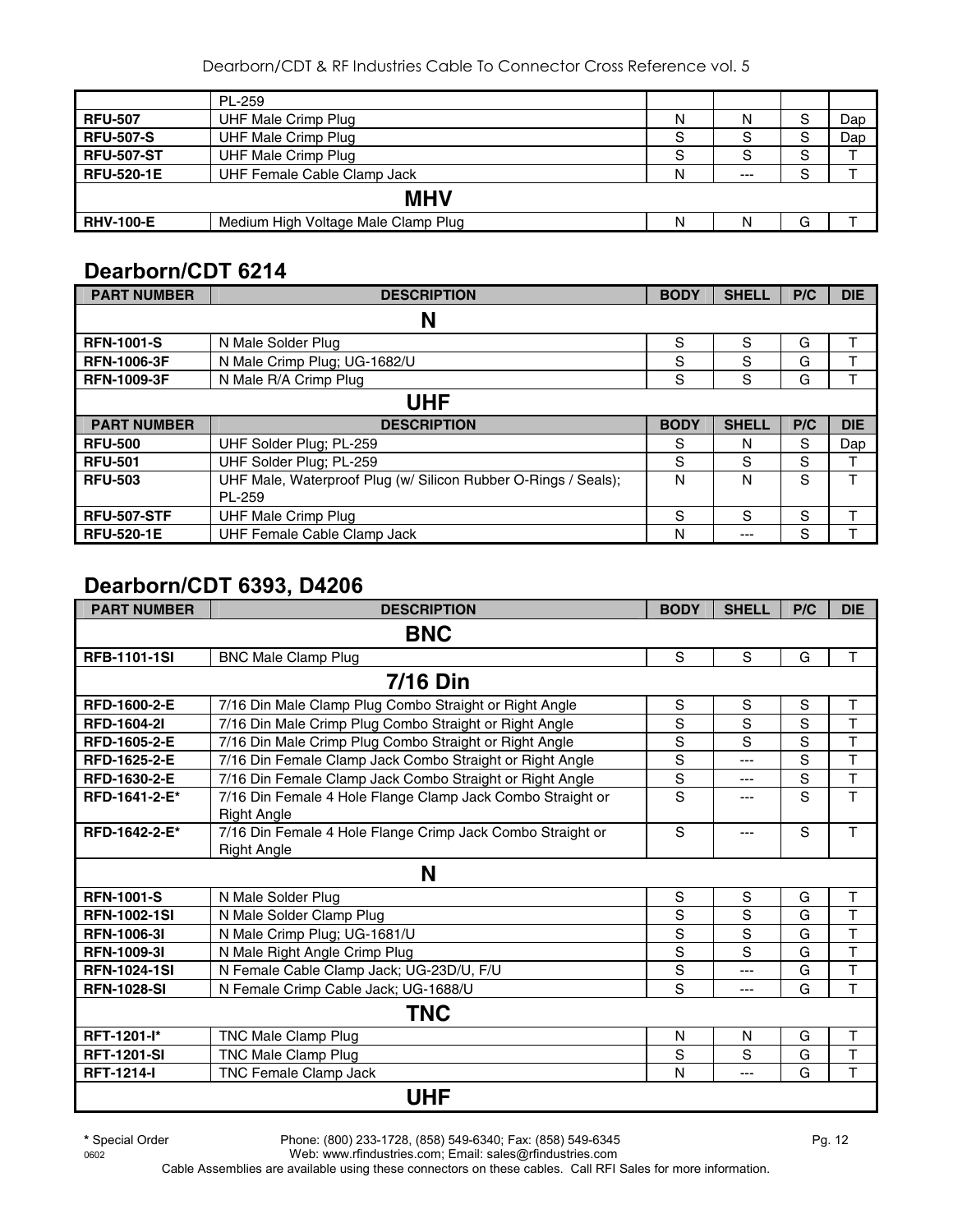|                   | PL-259                              |   |       |   |     |  |  |  |
|-------------------|-------------------------------------|---|-------|---|-----|--|--|--|
| <b>RFU-507</b>    | UHF Male Crimp Plug                 | N | N     | S | Dap |  |  |  |
| <b>RFU-507-S</b>  | <b>UHF Male Crimp Plug</b>          | S | S     | S | Dap |  |  |  |
| <b>RFU-507-ST</b> | UHF Male Crimp Plug                 | S | S     | S |     |  |  |  |
| <b>RFU-520-1E</b> | UHF Female Cable Clamp Jack         | N | $---$ | S |     |  |  |  |
| <b>MHV</b>        |                                     |   |       |   |     |  |  |  |
| <b>RHV-100-E</b>  | Medium High Voltage Male Clamp Plug | N | N     | G |     |  |  |  |

# **Dearborn/CDT 6214**

| <b>PART NUMBER</b> | <b>DESCRIPTION</b>                                             | <b>BODY</b> | <b>SHELL</b> | P/C | <b>DIE</b> |  |  |  |
|--------------------|----------------------------------------------------------------|-------------|--------------|-----|------------|--|--|--|
|                    | N                                                              |             |              |     |            |  |  |  |
| <b>RFN-1001-S</b>  | N Male Solder Plug                                             | S           | S            | G   |            |  |  |  |
| <b>RFN-1006-3F</b> | N Male Crimp Plug; UG-1682/U                                   | S           | S            | G   |            |  |  |  |
| <b>RFN-1009-3F</b> | N Male R/A Crimp Plug                                          | S           | S            | G   |            |  |  |  |
|                    | UHF                                                            |             |              |     |            |  |  |  |
| <b>PART NUMBER</b> | <b>DESCRIPTION</b>                                             | <b>BODY</b> | <b>SHELL</b> | P/C | <b>DIE</b> |  |  |  |
| <b>RFU-500</b>     | UHF Solder Plug; PL-259                                        | S           | N            | S   | Dap        |  |  |  |
| <b>RFU-501</b>     | UHF Solder Plug; PL-259                                        | S           | S            | S   | ᠇          |  |  |  |
| <b>RFU-503</b>     | UHF Male, Waterproof Plug (w/ Silicon Rubber O-Rings / Seals); | N           | N            | S   |            |  |  |  |
|                    | PL-259                                                         |             |              |     |            |  |  |  |
| <b>RFU-507-STF</b> | <b>UHF Male Crimp Plug</b>                                     | S           | S            | S   |            |  |  |  |
| <b>RFU-520-1E</b>  | UHF Female Cable Clamp Jack                                    | N           | ---          | S   |            |  |  |  |

## **Dearborn/CDT 6393, D4206**

| <b>PART NUMBER</b>  | <b>DESCRIPTION</b>                                                               | <b>BODY</b> | <b>SHELL</b> | P/C | <b>DIE</b>              |  |  |  |  |
|---------------------|----------------------------------------------------------------------------------|-------------|--------------|-----|-------------------------|--|--|--|--|
| <b>BNC</b>          |                                                                                  |             |              |     |                         |  |  |  |  |
| <b>RFB-1101-1SI</b> | <b>BNC Male Clamp Plug</b>                                                       | S           | S            | G   | T                       |  |  |  |  |
|                     | <b>7/16 Din</b>                                                                  |             |              |     |                         |  |  |  |  |
| RFD-1600-2-E        | 7/16 Din Male Clamp Plug Combo Straight or Right Angle                           | S           | S            | S   | T                       |  |  |  |  |
| <b>RFD-1604-21</b>  | 7/16 Din Male Crimp Plug Combo Straight or Right Angle                           | S           | S            | S   | T                       |  |  |  |  |
| RFD-1605-2-E        | 7/16 Din Male Crimp Plug Combo Straight or Right Angle                           | S           | S            | S   | T                       |  |  |  |  |
| RFD-1625-2-E        | 7/16 Din Female Clamp Jack Combo Straight or Right Angle                         | S           | $---$        | S   | $\overline{\mathsf{T}}$ |  |  |  |  |
| <b>RFD-1630-2-E</b> | 7/16 Din Female Clamp Jack Combo Straight or Right Angle                         | S           | ---          | S   | T                       |  |  |  |  |
| RFD-1641-2-E*       | 7/16 Din Female 4 Hole Flange Clamp Jack Combo Straight or<br><b>Right Angle</b> | S           | ---          | S   | $\overline{T}$          |  |  |  |  |
| RFD-1642-2-E*       | 7/16 Din Female 4 Hole Flange Crimp Jack Combo Straight or<br><b>Right Angle</b> | S           | $---$        | S   | T                       |  |  |  |  |
|                     | N                                                                                |             |              |     |                         |  |  |  |  |
| <b>RFN-1001-S</b>   | N Male Solder Plug                                                               | S           | $\mathbf S$  | G   | T                       |  |  |  |  |
| <b>RFN-1002-1SI</b> | N Male Solder Clamp Plug                                                         | S           | S            | G   | T                       |  |  |  |  |
| <b>RFN-1006-31</b>  | N Male Crimp Plug; UG-1681/U                                                     | S           | S            | G   | T                       |  |  |  |  |
| <b>RFN-1009-31</b>  | N Male Right Angle Crimp Plug                                                    | S           | S            | G   | $\overline{\mathsf{T}}$ |  |  |  |  |
| <b>RFN-1024-1SI</b> | N Female Cable Clamp Jack; UG-23D/U, F/U                                         | $\mathsf S$ | $---$        | G   | T                       |  |  |  |  |
| <b>RFN-1028-SI</b>  | N Female Crimp Cable Jack; UG-1688/U                                             | S           | ---          | G   | T                       |  |  |  |  |
|                     | TNC                                                                              |             |              |     |                         |  |  |  |  |
| RFT-1201-l*         | TNC Male Clamp Plug                                                              | N           | N            | G   | Τ                       |  |  |  |  |
| <b>RFT-1201-SI</b>  | <b>TNC Male Clamp Plug</b>                                                       | S           | S            | G   | T                       |  |  |  |  |
| <b>RFT-1214-I</b>   | <b>TNC Female Clamp Jack</b>                                                     | N           | ---          | G   | T                       |  |  |  |  |
|                     | <b>UHF</b>                                                                       |             |              |     |                         |  |  |  |  |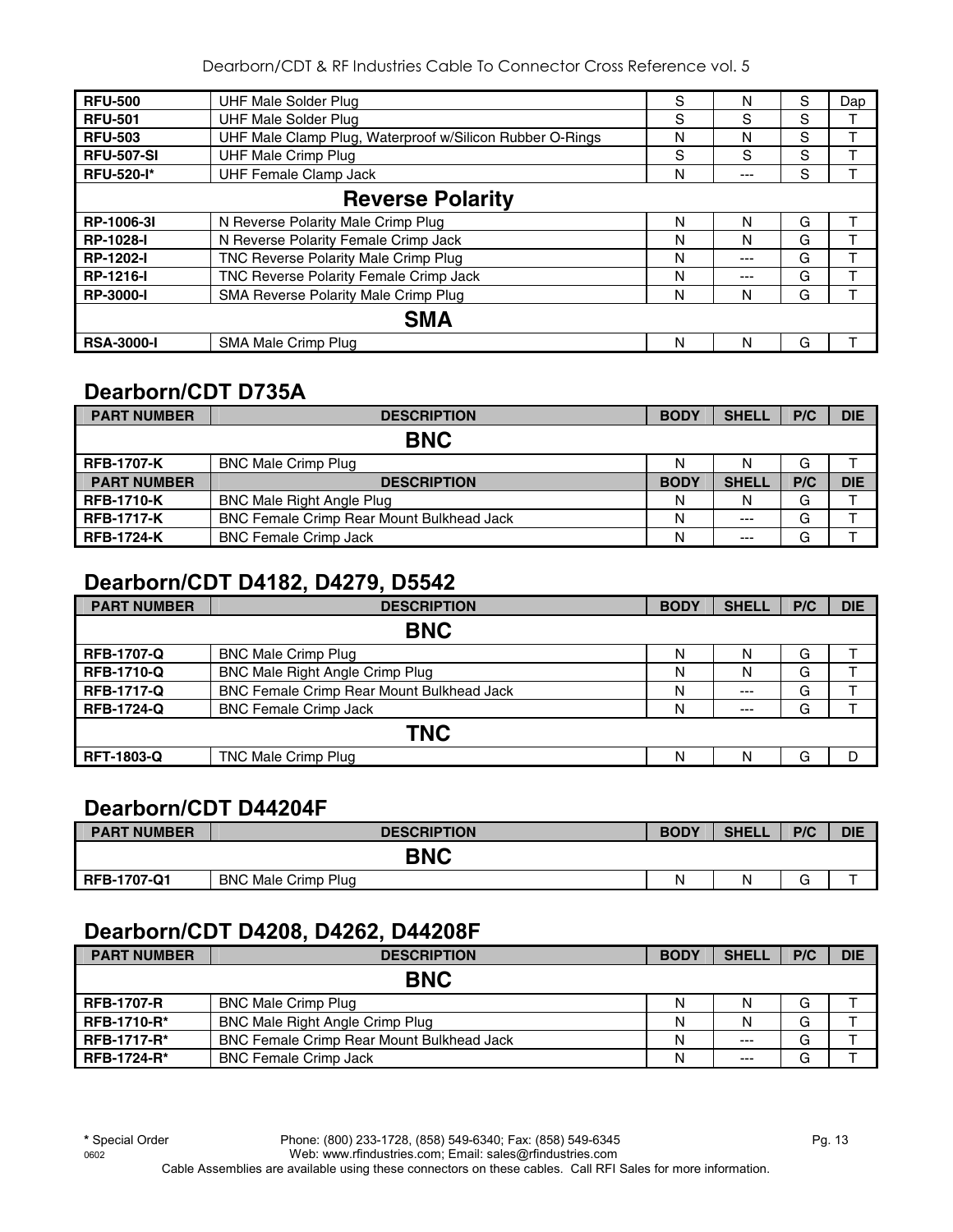| <b>RFU-500</b>          | UHF Male Solder Plug                                     | S | N   | S | Dap |  |  |
|-------------------------|----------------------------------------------------------|---|-----|---|-----|--|--|
| <b>RFU-501</b>          | <b>UHF Male Solder Plug</b>                              | S | S   | S |     |  |  |
| <b>RFU-503</b>          | UHF Male Clamp Plug, Waterproof w/Silicon Rubber O-Rings | N | N   | S |     |  |  |
| <b>RFU-507-SI</b>       | <b>UHF Male Crimp Plug</b>                               | S | S   | S |     |  |  |
| <b>RFU-520-I*</b>       | <b>UHF Female Clamp Jack</b>                             | N | --- | S |     |  |  |
| <b>Reverse Polarity</b> |                                                          |   |     |   |     |  |  |
| RP-1006-3I              | N Reverse Polarity Male Crimp Plug                       | N | N   | G |     |  |  |
| <b>RP-1028-I</b>        | N Reverse Polarity Female Crimp Jack                     | N | N   | G |     |  |  |
| <b>RP-1202-I</b>        | TNC Reverse Polarity Male Crimp Plug                     | N | --- | G |     |  |  |
| <b>RP-1216-I</b>        | TNC Reverse Polarity Female Crimp Jack                   | N | --- | G |     |  |  |
| <b>RP-3000-I</b>        | SMA Reverse Polarity Male Crimp Plug                     | N | N   | G |     |  |  |
|                         | <b>SMA</b>                                               |   |     |   |     |  |  |
| <b>RSA-3000-I</b>       | SMA Male Crimp Plug                                      | N | N   | G |     |  |  |

## **Dearborn/CDT D735A**

| <b>PART NUMBER</b> | <b>DESCRIPTION</b>                               | <b>BODY</b> | <b>SHELL</b> | P/C | <b>DIE</b> |
|--------------------|--------------------------------------------------|-------------|--------------|-----|------------|
|                    | <b>BNC</b>                                       |             |              |     |            |
| <b>RFB-1707-K</b>  | <b>BNC Male Crimp Plug</b>                       | Ν           |              | G   |            |
| <b>PART NUMBER</b> | <b>DESCRIPTION</b>                               | <b>BODY</b> | <b>SHELL</b> | P/C | <b>DIE</b> |
| <b>RFB-1710-K</b>  | <b>BNC Male Right Angle Plug</b>                 | N           | N            | G   |            |
| <b>RFB-1717-K</b>  | <b>BNC Female Crimp Rear Mount Bulkhead Jack</b> | N           | $---$        | G   |            |
| <b>RFB-1724-K</b>  | <b>BNC Female Crimp Jack</b>                     | N           | $---$        | G   |            |

## **Dearborn/CDT D4182, D4279, D5542**

| <b>PART NUMBER</b> | <b>DESCRIPTION</b>                        | <b>BODY</b> | <b>SHELL</b> | P/C | <b>DIE</b> |  |  |  |  |
|--------------------|-------------------------------------------|-------------|--------------|-----|------------|--|--|--|--|
| <b>BNC</b>         |                                           |             |              |     |            |  |  |  |  |
| <b>RFB-1707-Q</b>  | <b>BNC Male Crimp Plug</b>                | N           | N            | G   |            |  |  |  |  |
| <b>RFB-1710-Q</b>  | BNC Male Right Angle Crimp Plug           | N           | N            | G   |            |  |  |  |  |
| <b>RFB-1717-Q</b>  | BNC Female Crimp Rear Mount Bulkhead Jack | N           | $--$         | G   |            |  |  |  |  |
| <b>RFB-1724-Q</b>  | <b>BNC Female Crimp Jack</b>              | N           | $---$        | G   |            |  |  |  |  |
| <b>TNC</b>         |                                           |             |              |     |            |  |  |  |  |
| <b>RFT-1803-Q</b>  | TNC Male Crimp Plug                       | N           | N            | G   | D          |  |  |  |  |

## **Dearborn/CDT D44204F**

| <b>PART NUMBER</b> | <b>DESCRIPTION</b>         | <b>BODY</b> | <b>SHELL</b> | P/C         | <b>DIE</b> |
|--------------------|----------------------------|-------------|--------------|-------------|------------|
|                    | <b>BNC</b>                 |             |              |             |            |
| <b>RFB-1707-Q1</b> | <b>BNC Male Crimp Plug</b> | N           |              | $\sim$<br>G |            |

## **Dearborn/CDT D4208, D4262, D44208F**

| <b>PART NUMBER</b> | <b>DESCRIPTION</b>                               | <b>BODY</b> | <b>SHELL</b> | P/C | <b>DIE</b> |
|--------------------|--------------------------------------------------|-------------|--------------|-----|------------|
|                    | <b>BNC</b>                                       |             |              |     |            |
| <b>RFB-1707-R</b>  | <b>BNC Male Crimp Plug</b>                       | N           | N            | G   |            |
| <b>RFB-1710-R*</b> | <b>BNC Male Right Angle Crimp Plug</b>           | N           | N            | G   |            |
| <b>RFB-1717-R*</b> | <b>BNC Female Crimp Rear Mount Bulkhead Jack</b> | N           | $---$        | G   |            |
| <b>RFB-1724-R*</b> | <b>BNC Female Crimp Jack</b>                     | N           | $---$        | G   |            |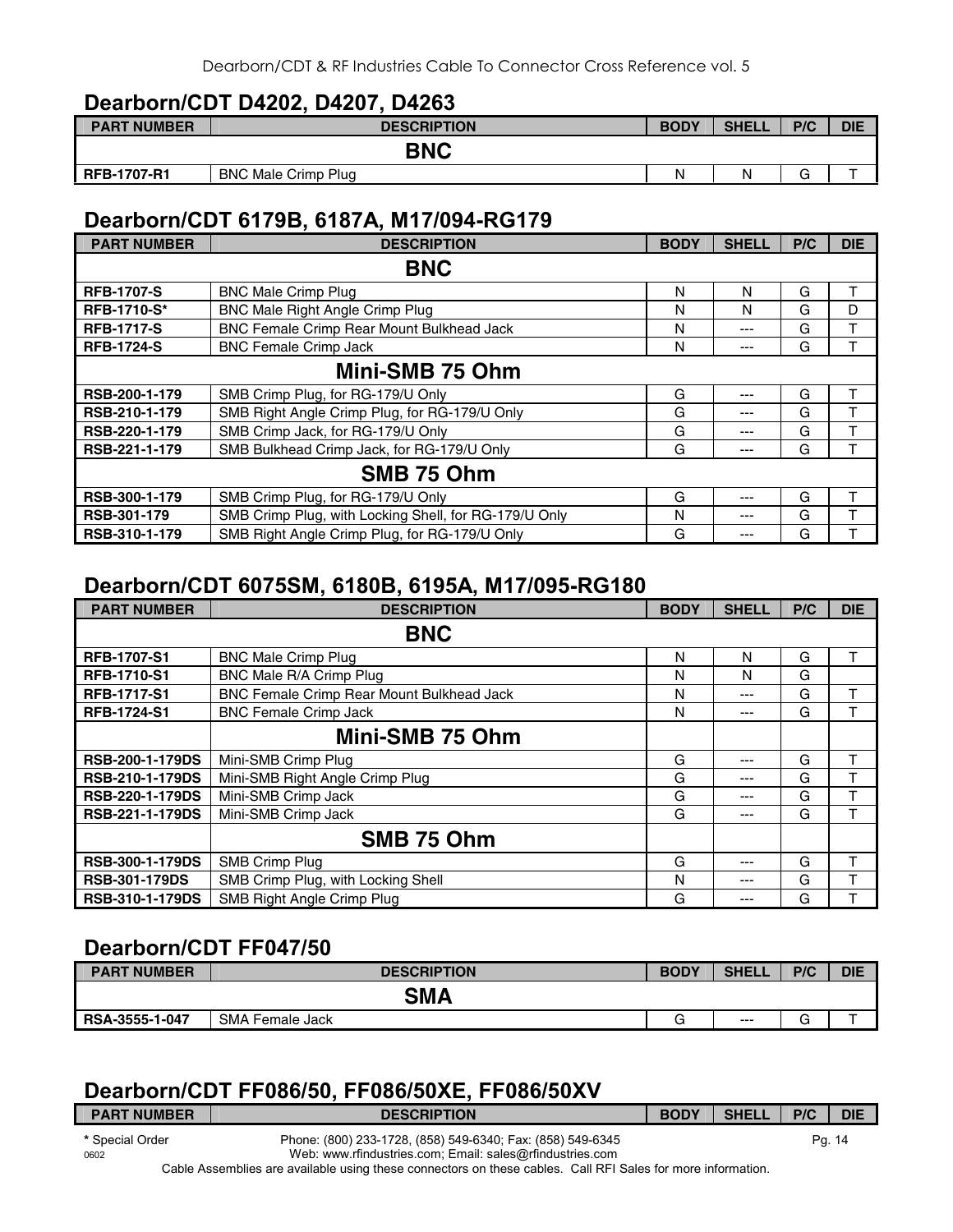## **Dearborn/CDT D4202, D4207, D4263**

| <b>PART NUMBER</b> | <b>DESCRIPTION</b>         | <b>BODY</b> | <b>SHELL</b> | P/C         | <b>DIE</b> |
|--------------------|----------------------------|-------------|--------------|-------------|------------|
|                    | <b>BNC</b>                 |             |              |             |            |
| <b>RFB-1707-R1</b> | <b>BNC Male Crimp Plug</b> | N           |              | $\sim$<br>G |            |

## **Dearborn/CDT 6179B, 6187A, M17/094-RG179**

| <b>PART NUMBER</b> | <b>DESCRIPTION</b>                                    | <b>BODY</b> | <b>SHELL</b> | P/C | <b>DIE</b> |
|--------------------|-------------------------------------------------------|-------------|--------------|-----|------------|
|                    | <b>BNC</b>                                            |             |              |     |            |
| <b>RFB-1707-S</b>  | <b>BNC Male Crimp Plug</b>                            | N           | N            | G   | т          |
| <b>RFB-1710-S*</b> | BNC Male Right Angle Crimp Plug                       | N           | N            | G   | D          |
| <b>RFB-1717-S</b>  | BNC Female Crimp Rear Mount Bulkhead Jack             | N           | ---          | G   | т          |
| <b>RFB-1724-S</b>  | <b>BNC Female Crimp Jack</b>                          | N           | ---          | G   | т          |
|                    | Mini-SMB 75 Ohm                                       |             |              |     |            |
| RSB-200-1-179      | SMB Crimp Plug, for RG-179/U Only                     | G           | ---          | G   | т          |
| RSB-210-1-179      | SMB Right Angle Crimp Plug, for RG-179/U Only         | G           | ---          | G   | т          |
| RSB-220-1-179      | SMB Crimp Jack, for RG-179/U Only                     | G           | ---          | G   | т          |
| RSB-221-1-179      | SMB Bulkhead Crimp Jack, for RG-179/U Only            | G           | ---          | G   |            |
|                    | SMB 75 Ohm                                            |             |              |     |            |
| RSB-300-1-179      | SMB Crimp Plug, for RG-179/U Only                     | G           | ---          | G   | т          |
| RSB-301-179        | SMB Crimp Plug, with Locking Shell, for RG-179/U Only | N           | ---          | G   |            |
| RSB-310-1-179      | SMB Right Angle Crimp Plug, for RG-179/U Only         | G           | ---          | G   |            |

## **Dearborn/CDT 6075SM, 6180B, 6195A, M17/095-RG180**

| <b>PART NUMBER</b>     | <b>DESCRIPTION</b>                               | <b>BODY</b> | <b>SHELL</b> | P/C | <b>DIE</b> |
|------------------------|--------------------------------------------------|-------------|--------------|-----|------------|
|                        | <b>BNC</b>                                       |             |              |     |            |
| <b>RFB-1707-S1</b>     | <b>BNC Male Crimp Plug</b>                       | N           | N            | G   | т          |
| <b>RFB-1710-S1</b>     | BNC Male R/A Crimp Plug                          | N           | N            | G   |            |
| <b>RFB-1717-S1</b>     | <b>BNC Female Crimp Rear Mount Bulkhead Jack</b> | N           | $---$        | G   |            |
| <b>RFB-1724-S1</b>     | <b>BNC Female Crimp Jack</b>                     | N           | ---          | G   |            |
|                        | Mini-SMB 75 Ohm                                  |             |              |     |            |
| <b>RSB-200-1-179DS</b> | Mini-SMB Crimp Plug                              | G           | ---          | G   | т          |
| <b>RSB-210-1-179DS</b> | Mini-SMB Right Angle Crimp Plug                  | G           | ---          | G   | т          |
| <b>RSB-220-1-179DS</b> | Mini-SMB Crimp Jack                              | G           | ---          | G   |            |
| RSB-221-1-179DS        | Mini-SMB Crimp Jack                              | G           | ---          | G   |            |
|                        | SMB 75 Ohm                                       |             |              |     |            |
| <b>RSB-300-1-179DS</b> | SMB Crimp Plug                                   | G           | ---          | G   |            |
| <b>RSB-301-179DS</b>   | SMB Crimp Plug, with Locking Shell               | N           | ---          | G   |            |
| <b>RSB-310-1-179DS</b> | SMB Right Angle Crimp Plug                       | G           | ---          | G   |            |

## **Dearborn/CDT FF047/50**

| <b>PART NUMBER</b> | <b>DESCRIPTION</b> | <b>BODY</b> | <b>SHELL</b> | P/C    | <b>DIE</b> |  |  |  |
|--------------------|--------------------|-------------|--------------|--------|------------|--|--|--|
|                    | SMA                |             |              |        |            |  |  |  |
| RSA-3555-1-047     | SMA Female Jack    |             | $---$        | ⌒<br>G |            |  |  |  |

## **Dearborn/CDT FF086/50, FF086/50XE, FF086/50XV**

| <b>PART NUMBER</b> | <b>DESCRIPTION</b>                                                             | <b>BODY</b> | <b>SHELL</b> | P/C | <b>DIE</b> |
|--------------------|--------------------------------------------------------------------------------|-------------|--------------|-----|------------|
| * Special Order    | Phone: (800) 233-1728, (858) 549-6340; Fax: (858) 549-6345                     |             |              |     | Pg. 14     |
| 0602               | Web: www.rfindustries.com; Email: sales@rfindustries.com<br>- . - - - - .<br>. |             |              |     |            |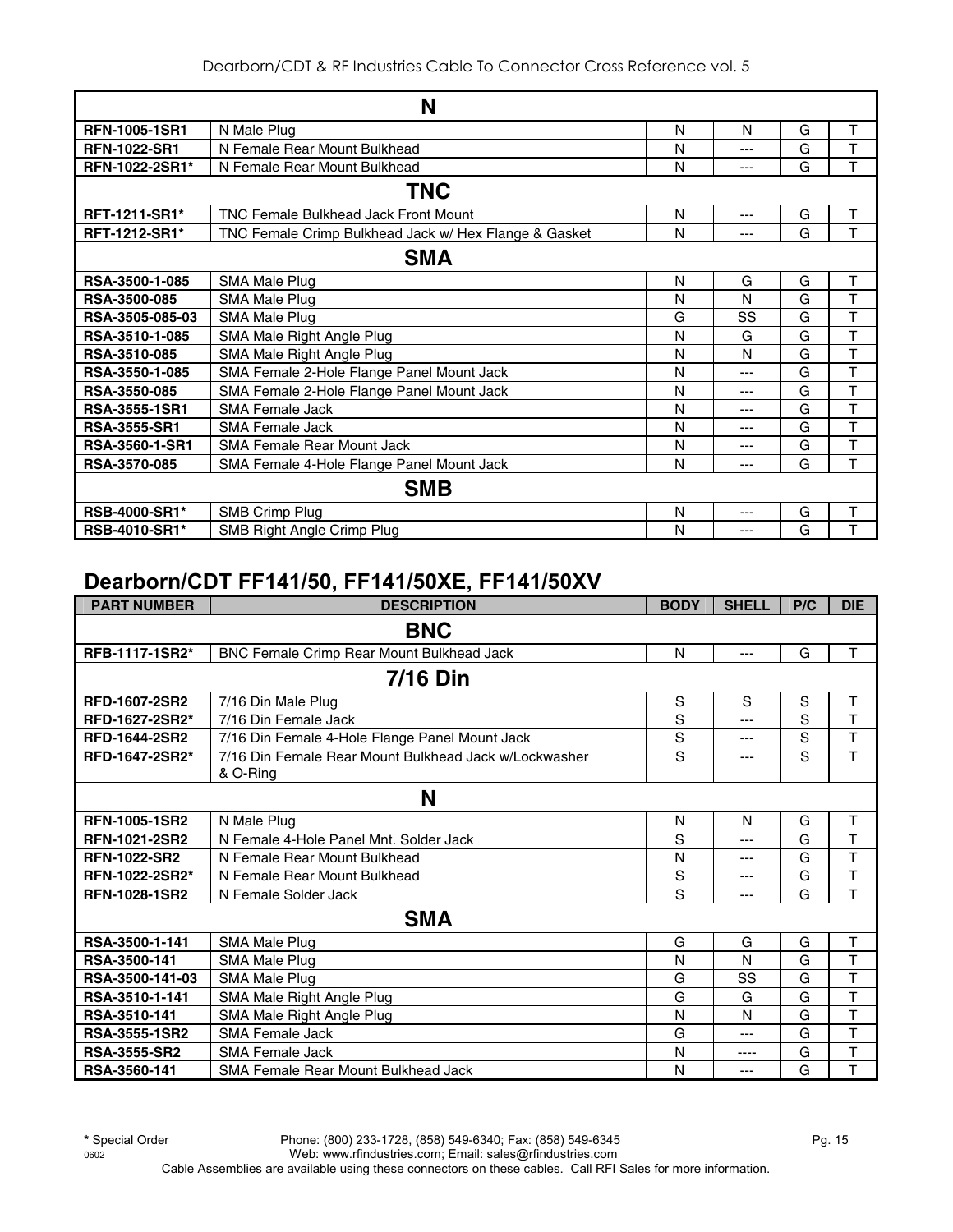| N                     |                                                       |   |     |   |   |  |  |  |
|-----------------------|-------------------------------------------------------|---|-----|---|---|--|--|--|
| <b>RFN-1005-1SR1</b>  | N Male Plug                                           | N | N   | G | т |  |  |  |
| <b>RFN-1022-SR1</b>   | N Female Rear Mount Bulkhead                          | N | --- | G | T |  |  |  |
| <b>RFN-1022-2SR1*</b> | N Female Rear Mount Bulkhead                          | N | --- | G | T |  |  |  |
|                       | <b>TNC</b>                                            |   |     |   |   |  |  |  |
| RFT-1211-SR1*         | <b>TNC Female Bulkhead Jack Front Mount</b>           | N | --- | G | т |  |  |  |
| <b>RFT-1212-SR1*</b>  | TNC Female Crimp Bulkhead Jack w/ Hex Flange & Gasket | N | --- | G | т |  |  |  |
| <b>SMA</b>            |                                                       |   |     |   |   |  |  |  |
| RSA-3500-1-085        | SMA Male Plug                                         | N | G   | G | T |  |  |  |
| RSA-3500-085          | SMA Male Plug                                         | N | N   | G | T |  |  |  |
| RSA-3505-085-03       | <b>SMA Male Plug</b>                                  | G | SS  | G | T |  |  |  |
| RSA-3510-1-085        | SMA Male Right Angle Plug                             | N | G   | G | Т |  |  |  |
| RSA-3510-085          | SMA Male Right Angle Plug                             | N | N   | G | Т |  |  |  |
| RSA-3550-1-085        | SMA Female 2-Hole Flange Panel Mount Jack             | N | --- | G | Т |  |  |  |
| RSA-3550-085          | SMA Female 2-Hole Flange Panel Mount Jack             | N | --- | G | T |  |  |  |
| <b>RSA-3555-1SR1</b>  | <b>SMA Female Jack</b>                                | N | --- | G | T |  |  |  |
| <b>RSA-3555-SR1</b>   | <b>SMA Female Jack</b>                                | N | --- | G | T |  |  |  |
| <b>RSA-3560-1-SR1</b> | <b>SMA Female Rear Mount Jack</b>                     | N | --- | G | Т |  |  |  |
| RSA-3570-085          | SMA Female 4-Hole Flange Panel Mount Jack             | N | --- | G | T |  |  |  |
|                       | <b>SMB</b>                                            |   |     |   |   |  |  |  |
| <b>RSB-4000-SR1*</b>  | <b>SMB Crimp Plug</b>                                 | N | --- | G | T |  |  |  |
| <b>RSB-4010-SR1*</b>  | SMB Right Angle Crimp Plug                            | N | --- | G | T |  |  |  |

## **Dearborn/CDT FF141/50, FF141/50XE, FF141/50XV**

| <b>PART NUMBER</b>   | <b>DESCRIPTION</b>                                    | <b>BODY</b> | <b>SHELL</b> | P/C | <b>DIE</b>              |  |  |  |  |
|----------------------|-------------------------------------------------------|-------------|--------------|-----|-------------------------|--|--|--|--|
| <b>BNC</b>           |                                                       |             |              |     |                         |  |  |  |  |
| RFB-1117-1SR2*       | BNC Female Crimp Rear Mount Bulkhead Jack             | N           | $---$        | G   | т                       |  |  |  |  |
|                      | <b>7/16 Din</b>                                       |             |              |     |                         |  |  |  |  |
| <b>RFD-1607-2SR2</b> | 7/16 Din Male Plug                                    | S           | S            | S   | T                       |  |  |  |  |
| RFD-1627-2SR2*       | 7/16 Din Female Jack                                  | S           | ---          | S   | $\overline{T}$          |  |  |  |  |
| <b>RFD-1644-2SR2</b> | 7/16 Din Female 4-Hole Flange Panel Mount Jack        | S           | ---          | S   | T                       |  |  |  |  |
| RFD-1647-2SR2*       | 7/16 Din Female Rear Mount Bulkhead Jack w/Lockwasher | S           | ---          | S   | T                       |  |  |  |  |
|                      | & O-Ring                                              |             |              |     |                         |  |  |  |  |
|                      | N                                                     |             |              |     |                         |  |  |  |  |
| <b>RFN-1005-1SR2</b> | N Male Plug                                           | N           | N            | G   | Т                       |  |  |  |  |
| <b>RFN-1021-2SR2</b> | N Female 4-Hole Panel Mnt. Solder Jack                | S           | ---          | G   | T                       |  |  |  |  |
| <b>RFN-1022-SR2</b>  | N Female Rear Mount Bulkhead                          | N           | ---          | G   | T                       |  |  |  |  |
| RFN-1022-2SR2*       | N Female Rear Mount Bulkhead                          | S           | ---          | G   | T                       |  |  |  |  |
| <b>RFN-1028-1SR2</b> | N Female Solder Jack                                  | S           | ---          | G   | т                       |  |  |  |  |
|                      | <b>SMA</b>                                            |             |              |     |                         |  |  |  |  |
| RSA-3500-1-141       | <b>SMA Male Plug</b>                                  | G           | G            | G   | T                       |  |  |  |  |
| RSA-3500-141         | SMA Male Plug                                         | N           | N            | G   | T                       |  |  |  |  |
| RSA-3500-141-03      | SMA Male Plug                                         | G           | SS           | G   | T                       |  |  |  |  |
| RSA-3510-1-141       | SMA Male Right Angle Plug                             | G           | G            | G   | T                       |  |  |  |  |
| RSA-3510-141         | SMA Male Right Angle Plug                             | N           | N            | G   | T                       |  |  |  |  |
| RSA-3555-1SR2        | <b>SMA Female Jack</b>                                | G           | ---          | G   | $\overline{\mathsf{T}}$ |  |  |  |  |
| <b>RSA-3555-SR2</b>  | <b>SMA Female Jack</b>                                | N           | ----         | G   | T                       |  |  |  |  |
| RSA-3560-141         | SMA Female Rear Mount Bulkhead Jack                   | N           | ---          | G   | T                       |  |  |  |  |